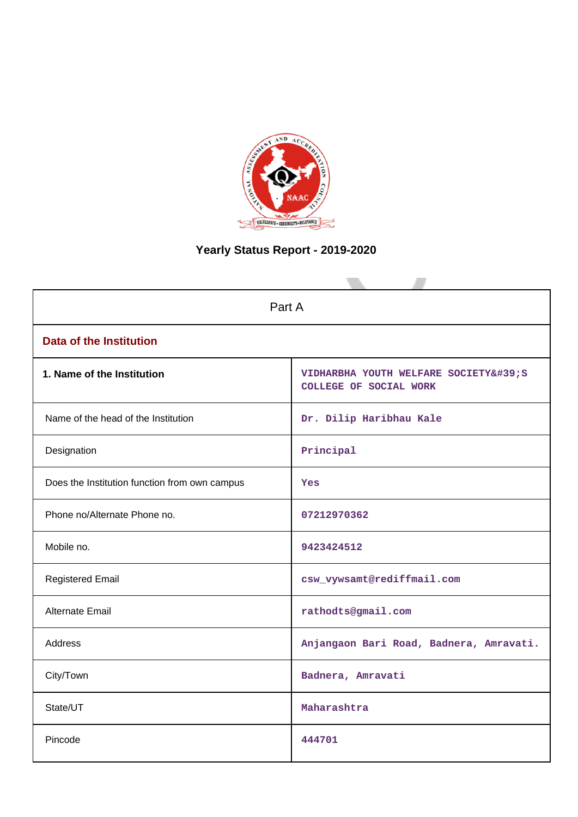

# **Yearly Status Report - 2019-2020**

| Part A                                        |                                                             |  |  |
|-----------------------------------------------|-------------------------------------------------------------|--|--|
| <b>Data of the Institution</b>                |                                                             |  |  |
| 1. Name of the Institution                    | VIDHARBHA YOUTH WELFARE SOCIETY'S<br>COLLEGE OF SOCIAL WORK |  |  |
| Name of the head of the Institution           | Dr. Dilip Haribhau Kale                                     |  |  |
| Designation                                   | Principal                                                   |  |  |
| Does the Institution function from own campus | <b>Yes</b>                                                  |  |  |
| Phone no/Alternate Phone no.                  | 07212970362                                                 |  |  |
| Mobile no.                                    | 9423424512                                                  |  |  |
| <b>Registered Email</b>                       | csw_vywsamt@rediffmail.com                                  |  |  |
| <b>Alternate Email</b>                        | rathodts@gmail.com                                          |  |  |
| <b>Address</b>                                | Anjangaon Bari Road, Badnera, Amravati.                     |  |  |
| City/Town                                     | Badnera, Amravati                                           |  |  |
| State/UT                                      | Maharashtra                                                 |  |  |
| Pincode                                       | 444701                                                      |  |  |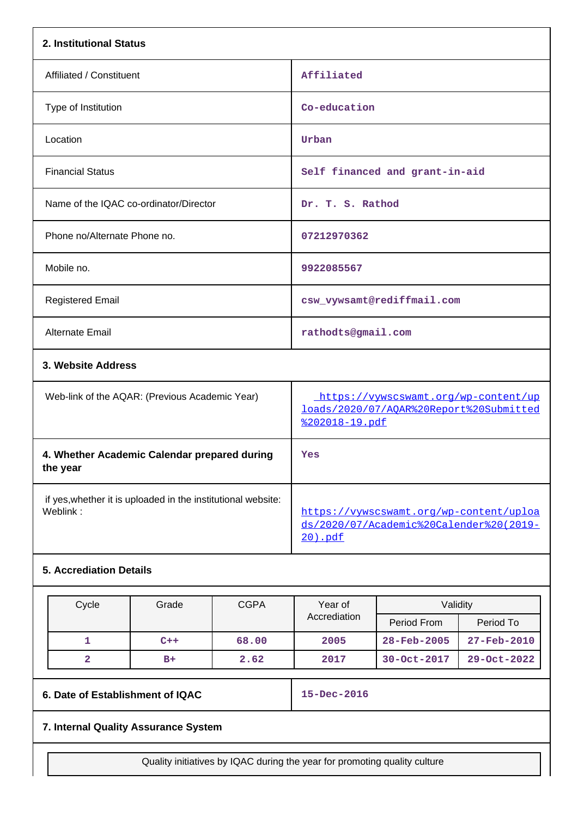| 2. Institutional Status                                                  |                                                                                                   |
|--------------------------------------------------------------------------|---------------------------------------------------------------------------------------------------|
| Affiliated / Constituent                                                 | Affiliated                                                                                        |
| Type of Institution                                                      | Co-education                                                                                      |
| Location                                                                 | Urban                                                                                             |
| <b>Financial Status</b>                                                  | Self financed and grant-in-aid                                                                    |
| Name of the IQAC co-ordinator/Director                                   | Dr. T. S. Rathod                                                                                  |
| Phone no/Alternate Phone no.                                             | 07212970362                                                                                       |
| Mobile no.                                                               | 9922085567                                                                                        |
| <b>Registered Email</b>                                                  | csw_vywsamt@rediffmail.com                                                                        |
| Alternate Email                                                          | rathodts@gmail.com                                                                                |
| 3. Website Address                                                       |                                                                                                   |
| Web-link of the AQAR: (Previous Academic Year)                           | https://vywscswamt.org/wp-content/up<br>loads/2020/07/AQAR%20Report%20Submitted<br>%202018-19.pdf |
| 4. Whether Academic Calendar prepared during<br>the year                 | Yes                                                                                               |
| if yes, whether it is uploaded in the institutional website:<br>Weblink: | https://vywscswamt.org/wp-content/uploa<br>ds/2020/07/Academic%20Calender%20(2019-<br>20).pdf     |
| <b>5. Accrediation Details</b>                                           |                                                                                                   |

| Cycle | Grade | <b>CGPA</b> | Year of      | Validity          |                          |
|-------|-------|-------------|--------------|-------------------|--------------------------|
|       |       |             | Accrediation | Period From       | Period To                |
|       | $C++$ | 68.00       | 2005         | $28 - Feb - 2005$ | $27 - \text{Feb} - 2010$ |
|       | $B+$  | 2.62        | 2017         | 30-Oct-2017       | $29 - Oct - 2022$        |

**6. Date of Establishment of IQAC 15-Dec-2016**

# **7. Internal Quality Assurance System**

Quality initiatives by IQAC during the year for promoting quality culture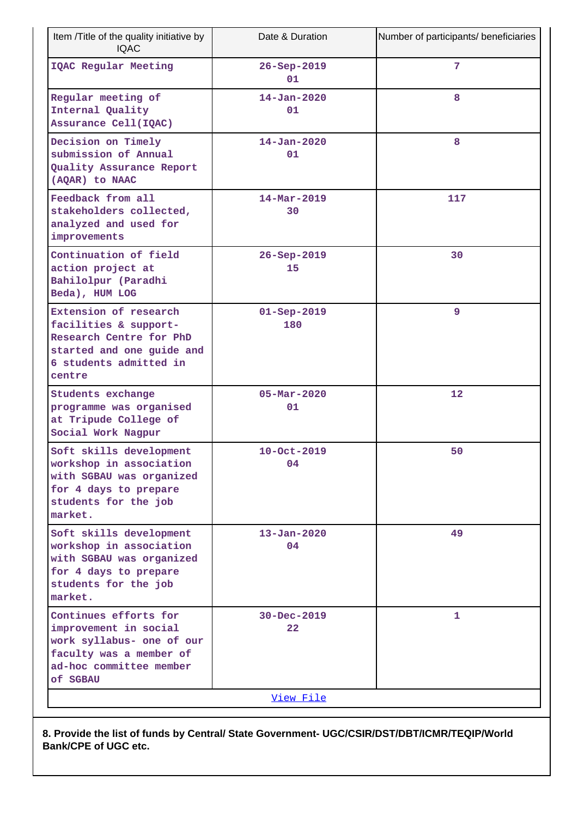| Item /Title of the quality initiative by<br><b>IQAC</b>                                                                                       | Date & Duration                  | Number of participants/ beneficiaries |
|-----------------------------------------------------------------------------------------------------------------------------------------------|----------------------------------|---------------------------------------|
| IQAC Regular Meeting                                                                                                                          | $26 - Sep - 2019$<br>01          | 7                                     |
| Regular meeting of<br>Internal Quality<br>Assurance Cell(IQAC)                                                                                | $14 - Jan - 2020$<br>01          | 8                                     |
| Decision on Timely<br>submission of Annual<br>Quality Assurance Report<br>(AQAR) to NAAC                                                      | $14 - Jan - 2020$<br>01          | 8                                     |
| Feedback from all<br>stakeholders collected,<br>analyzed and used for<br>improvements                                                         | $14 - \text{Mar} - 2019$<br>30   | 117                                   |
| Continuation of field<br>action project at<br>Bahilolpur (Paradhi<br>Beda), HUM LOG                                                           | $26 - Sep - 2019$<br>15          | 30                                    |
| Extension of research<br>facilities & support-<br>Research Centre for PhD<br>started and one guide and<br>6 students admitted in<br>centre    | $01 -$ Sep-2019<br>180           | 9                                     |
| Students exchange<br>programme was organised<br>at Tripude College of<br>Social Work Nagpur                                                   | $05 - \text{Mar} - 2020$<br>01   | 12                                    |
| Soft skills development<br>workshop in association<br>with SGBAU was organized<br>for 4 days to prepare<br>students for the job<br>market.    | $10 - Oct - 2019$<br>04          | 50                                    |
| Soft skills development<br>workshop in association<br>with SGBAU was organized<br>for 4 days to prepare<br>students for the job<br>market.    | $13 - Jan - 2020$<br>04          | 49                                    |
| Continues efforts for<br>improvement in social<br>work syllabus- one of our<br>faculty was a member of<br>ad-hoc committee member<br>of SGBAU | 30-Dec-2019<br>$22 \overline{)}$ | 1                                     |
|                                                                                                                                               | <u>View File</u>                 |                                       |

**8. Provide the list of funds by Central/ State Government- UGC/CSIR/DST/DBT/ICMR/TEQIP/World Bank/CPE of UGC etc.**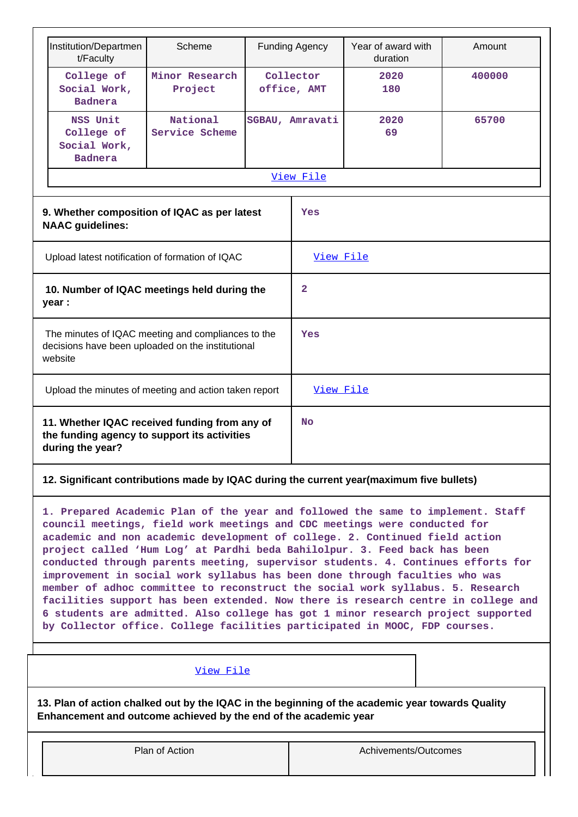| Institution/Departmen                                                                                                                                                                                                                                                                                                                                                                                                                                                                                                                                                                                                                                                                                                                                                                                                                |                            |                                                 |                                              |                                |                                                                                                                    |
|--------------------------------------------------------------------------------------------------------------------------------------------------------------------------------------------------------------------------------------------------------------------------------------------------------------------------------------------------------------------------------------------------------------------------------------------------------------------------------------------------------------------------------------------------------------------------------------------------------------------------------------------------------------------------------------------------------------------------------------------------------------------------------------------------------------------------------------|----------------------------|-------------------------------------------------|----------------------------------------------|--------------------------------|--------------------------------------------------------------------------------------------------------------------|
| t/Faculty                                                                                                                                                                                                                                                                                                                                                                                                                                                                                                                                                                                                                                                                                                                                                                                                                            | Scheme                     | <b>Funding Agency</b>                           |                                              | Year of award with<br>duration | Amount                                                                                                             |
| College of<br>Social Work,<br><b>Badnera</b>                                                                                                                                                                                                                                                                                                                                                                                                                                                                                                                                                                                                                                                                                                                                                                                         | Minor Research<br>Project  | Collector<br>office, AMT                        |                                              | 2020<br>180                    | 400000                                                                                                             |
| NSS Unit<br>College of<br>Social Work,<br><b>Badnera</b>                                                                                                                                                                                                                                                                                                                                                                                                                                                                                                                                                                                                                                                                                                                                                                             | National<br>Service Scheme | SGBAU, Amravati                                 |                                              | 2020<br>69                     | 65700                                                                                                              |
|                                                                                                                                                                                                                                                                                                                                                                                                                                                                                                                                                                                                                                                                                                                                                                                                                                      |                            |                                                 |                                              |                                |                                                                                                                    |
|                                                                                                                                                                                                                                                                                                                                                                                                                                                                                                                                                                                                                                                                                                                                                                                                                                      |                            |                                                 | Yes                                          |                                |                                                                                                                    |
|                                                                                                                                                                                                                                                                                                                                                                                                                                                                                                                                                                                                                                                                                                                                                                                                                                      |                            |                                                 |                                              |                                |                                                                                                                    |
| 10. Number of IQAC meetings held during the<br>year :                                                                                                                                                                                                                                                                                                                                                                                                                                                                                                                                                                                                                                                                                                                                                                                |                            |                                                 | 2                                            |                                |                                                                                                                    |
| The minutes of IQAC meeting and compliances to the<br>decisions have been uploaded on the institutional<br>website                                                                                                                                                                                                                                                                                                                                                                                                                                                                                                                                                                                                                                                                                                                   |                            |                                                 | Yes                                          |                                |                                                                                                                    |
| Upload the minutes of meeting and action taken report                                                                                                                                                                                                                                                                                                                                                                                                                                                                                                                                                                                                                                                                                                                                                                                |                            |                                                 |                                              |                                |                                                                                                                    |
| 11. Whether IQAC received funding from any of<br><b>No</b><br>the funding agency to support its activities<br>during the year?                                                                                                                                                                                                                                                                                                                                                                                                                                                                                                                                                                                                                                                                                                       |                            |                                                 |                                              |                                |                                                                                                                    |
|                                                                                                                                                                                                                                                                                                                                                                                                                                                                                                                                                                                                                                                                                                                                                                                                                                      |                            |                                                 |                                              |                                |                                                                                                                    |
| 1. Prepared Academic Plan of the year and followed the same to implement. Staff<br>council meetings, field work meetings and CDC meetings were conducted for<br>academic and non academic development of college. 2. Continued field action<br>project called 'Hum Log' at Pardhi beda Bahilolpur. 3. Feed back has been<br>conducted through parents meeting, supervisor students. 4. Continues efforts for<br>improvement in social work syllabus has been done through faculties who was<br>member of adhoc committee to reconstruct the social work syllabus. 5. Research<br>facilities support has been extended. Now there is research centre in college and<br>6 students are admitted. Also college has got 1 minor research project supported<br>by Collector office. College facilities participated in MOOC, FDP courses. |                            |                                                 |                                              |                                |                                                                                                                    |
|                                                                                                                                                                                                                                                                                                                                                                                                                                                                                                                                                                                                                                                                                                                                                                                                                                      | <b>NAAC</b> guidelines:    | Upload latest notification of formation of IQAC | 9. Whether composition of IQAC as per latest | View File                      | View File<br>View File<br>12. Significant contributions made by IQAC during the current year(maximum five bullets) |

# [View File](https://assessmentonline.naac.gov.in/public/Postacc/Contribution/20970_Contribution.xlsx)

**13. Plan of action chalked out by the IQAC in the beginning of the academic year towards Quality Enhancement and outcome achieved by the end of the academic year**

| Plan of Action | Achivements/Outcomes |
|----------------|----------------------|
|                |                      |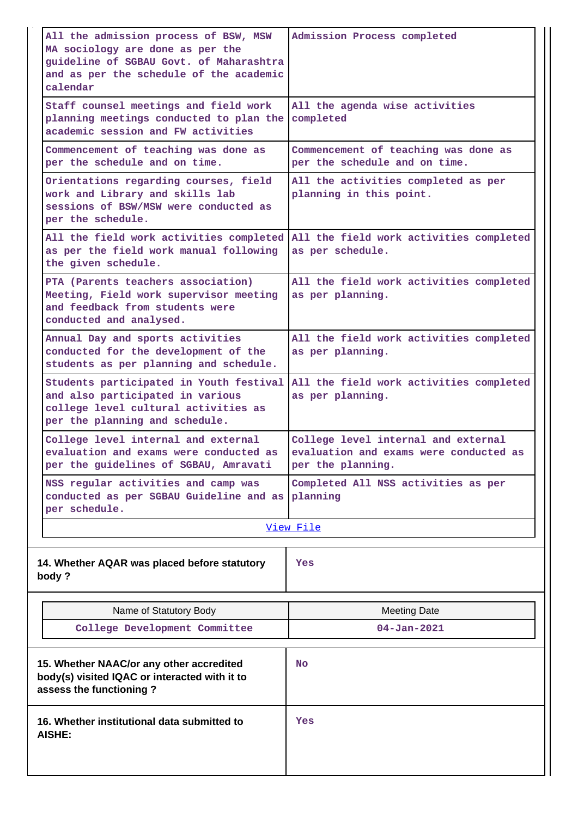| All the admission process of BSW, MSW<br>MA sociology are done as per the<br>guideline of SGBAU Govt. of Maharashtra<br>and as per the schedule of the academic<br>calendar | Admission Process completed                                                                        |
|-----------------------------------------------------------------------------------------------------------------------------------------------------------------------------|----------------------------------------------------------------------------------------------------|
| Staff counsel meetings and field work<br>planning meetings conducted to plan the<br>academic session and FW activities                                                      | All the agenda wise activities<br>completed                                                        |
| Commencement of teaching was done as<br>per the schedule and on time.                                                                                                       | Commencement of teaching was done as<br>per the schedule and on time.                              |
| Orientations regarding courses, field<br>work and Library and skills lab<br>sessions of BSW/MSW were conducted as<br>per the schedule.                                      | All the activities completed as per<br>planning in this point.                                     |
| All the field work activities completed<br>as per the field work manual following<br>the given schedule.                                                                    | All the field work activities completed<br>as per schedule.                                        |
| PTA (Parents teachers association)<br>Meeting, Field work supervisor meeting<br>and feedback from students were<br>conducted and analysed.                                  | All the field work activities completed<br>as per planning.                                        |
| Annual Day and sports activities<br>conducted for the development of the<br>students as per planning and schedule.                                                          | All the field work activities completed<br>as per planning.                                        |
| Students participated in Youth festival<br>and also participated in various<br>college level cultural activities as<br>per the planning and schedule.                       | All the field work activities completed<br>as per planning.                                        |
| College level internal and external<br>evaluation and exams were conducted as<br>per the guidelines of SGBAU, Amravati                                                      | College level internal and external<br>evaluation and exams were conducted as<br>per the planning. |
| NSS regular activities and camp was<br>conducted as per SGBAU Guideline and as<br>per schedule.                                                                             | Completed All NSS activities as per<br>planning                                                    |
|                                                                                                                                                                             | View File                                                                                          |
| 14. Whether AQAR was placed before statutory<br>body?                                                                                                                       | Yes                                                                                                |
| Name of Statutory Body                                                                                                                                                      | <b>Meeting Date</b>                                                                                |
| College Development Committee                                                                                                                                               | $04 - Jan - 2021$                                                                                  |
| 15. Whether NAAC/or any other accredited<br>body(s) visited IQAC or interacted with it to<br>assess the functioning?                                                        | <b>No</b>                                                                                          |
| 16. Whether institutional data submitted to<br>AISHE:                                                                                                                       | Yes                                                                                                |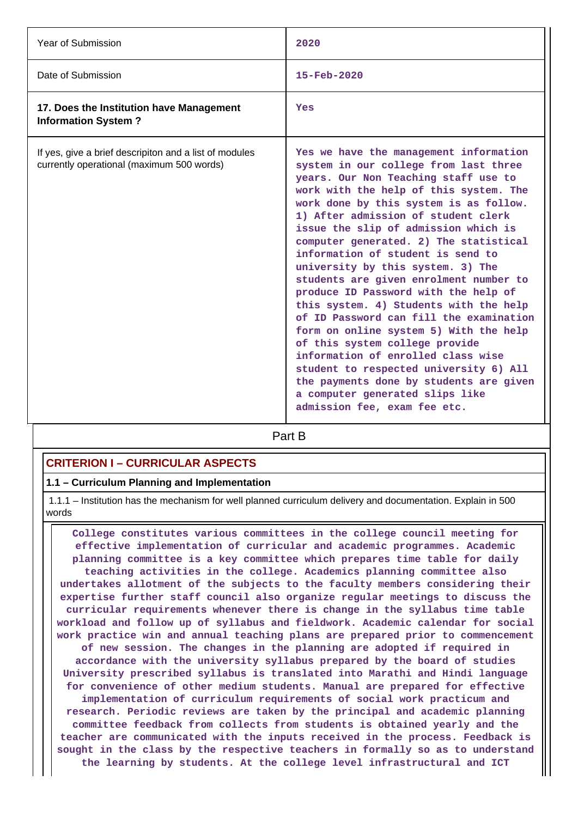| <b>Year of Submission</b>                                                                           | 2020                                                                                                                                                                                                                                                                                                                                                                                                                                                                                                                                                                                                                                                                                                                                                                                                                                                            |
|-----------------------------------------------------------------------------------------------------|-----------------------------------------------------------------------------------------------------------------------------------------------------------------------------------------------------------------------------------------------------------------------------------------------------------------------------------------------------------------------------------------------------------------------------------------------------------------------------------------------------------------------------------------------------------------------------------------------------------------------------------------------------------------------------------------------------------------------------------------------------------------------------------------------------------------------------------------------------------------|
| Date of Submission                                                                                  | $15 - \text{Feb} - 2020$                                                                                                                                                                                                                                                                                                                                                                                                                                                                                                                                                                                                                                                                                                                                                                                                                                        |
| 17. Does the Institution have Management<br><b>Information System?</b>                              | Yes                                                                                                                                                                                                                                                                                                                                                                                                                                                                                                                                                                                                                                                                                                                                                                                                                                                             |
| If yes, give a brief descripiton and a list of modules<br>currently operational (maximum 500 words) | Yes we have the management information<br>system in our college from last three<br>years. Our Non Teaching staff use to<br>work with the help of this system. The<br>work done by this system is as follow.<br>1) After admission of student clerk<br>issue the slip of admission which is<br>computer generated. 2) The statistical<br>information of student is send to<br>university by this system. 3) The<br>students are given enrolment number to<br>produce ID Password with the help of<br>this system. 4) Students with the help<br>of ID Password can fill the examination<br>form on online system 5) With the help<br>of this system college provide<br>information of enrolled class wise<br>student to respected university 6) All<br>the payments done by students are given<br>a computer generated slips like<br>admission fee, exam fee etc. |

**Part B** 

# **CRITERION I – CURRICULAR ASPECTS**

### **1.1 – Curriculum Planning and Implementation**

 1.1.1 – Institution has the mechanism for well planned curriculum delivery and documentation. Explain in 500 words

 **College constitutes various committees in the college council meeting for effective implementation of curricular and academic programmes. Academic planning committee is a key committee which prepares time table for daily teaching activities in the college. Academics planning committee also undertakes allotment of the subjects to the faculty members considering their expertise further staff council also organize regular meetings to discuss the curricular requirements whenever there is change in the syllabus time table workload and follow up of syllabus and fieldwork. Academic calendar for social work practice win and annual teaching plans are prepared prior to commencement of new session. The changes in the planning are adopted if required in accordance with the university syllabus prepared by the board of studies University prescribed syllabus is translated into Marathi and Hindi language for convenience of other medium students. Manual are prepared for effective implementation of curriculum requirements of social work practicum and research. Periodic reviews are taken by the principal and academic planning committee feedback from collects from students is obtained yearly and the teacher are communicated with the inputs received in the process. Feedback is sought in the class by the respective teachers in formally so as to understand the learning by students. At the college level infrastructural and ICT**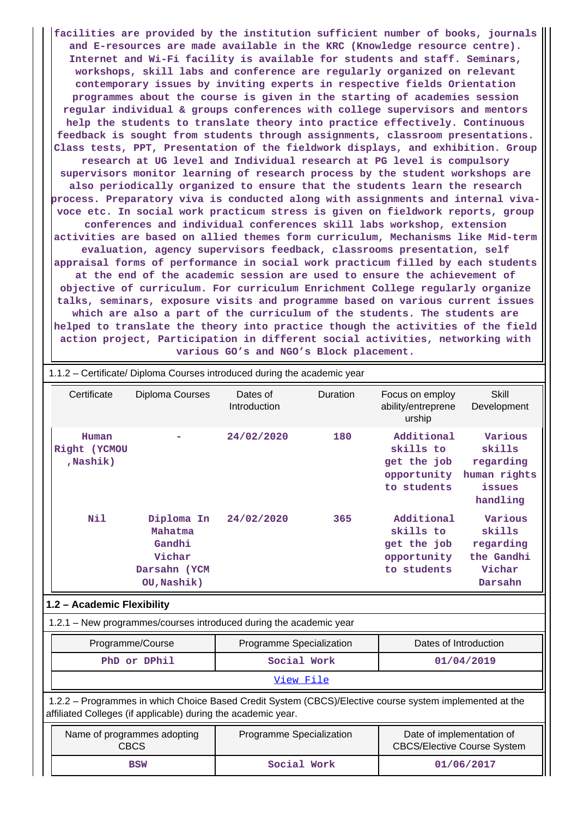**facilities are provided by the institution sufficient number of books, journals and E-resources are made available in the KRC (Knowledge resource centre). Internet and Wi-Fi facility is available for students and staff. Seminars, workshops, skill labs and conference are regularly organized on relevant contemporary issues by inviting experts in respective fields Orientation programmes about the course is given in the starting of academies session regular individual & groups conferences with college supervisors and mentors help the students to translate theory into practice effectively. Continuous feedback is sought from students through assignments, classroom presentations. Class tests, PPT, Presentation of the fieldwork displays, and exhibition. Group research at UG level and Individual research at PG level is compulsory supervisors monitor learning of research process by the student workshops are also periodically organized to ensure that the students learn the research process. Preparatory viva is conducted along with assignments and internal vivavoce etc. In social work practicum stress is given on fieldwork reports, group conferences and individual conferences skill labs workshop, extension activities are based on allied themes form curriculum, Mechanisms like Mid-term evaluation, agency supervisors feedback, classrooms presentation, self appraisal forms of performance in social work practicum filled by each students at the end of the academic session are used to ensure the achievement of objective of curriculum. For curriculum Enrichment College regularly organize talks, seminars, exposure visits and programme based on various current issues which are also a part of the curriculum of the students. The students are helped to translate the theory into practice though the activities of the field action project, Participation in different social activities, networking with various GO's and NGO's Block placement.**

|                                                                                                                                                                          |                                                                          | 1.1.2 - Certificate/ Diploma Courses introduced during the academic year                    |             |                                                                      |                                                                      |  |
|--------------------------------------------------------------------------------------------------------------------------------------------------------------------------|--------------------------------------------------------------------------|---------------------------------------------------------------------------------------------|-------------|----------------------------------------------------------------------|----------------------------------------------------------------------|--|
| Certificate                                                                                                                                                              | Diploma Courses                                                          | Dates of<br>Introduction                                                                    | Duration    | Focus on employ<br>ability/entreprene<br>urship                      | <b>Skill</b><br>Development                                          |  |
| Human<br>Right (YCMOU<br>, Nashik)                                                                                                                                       |                                                                          | 24/02/2020                                                                                  | 180         | Additional<br>skills to<br>get the job<br>opportunity<br>to students | Various<br>skills<br>regarding<br>human rights<br>issues<br>handling |  |
| Nil                                                                                                                                                                      | Diploma In<br>Mahatma<br>Gandhi<br>Vichar<br>Darsahn (YCM<br>OU, Nashik) | 24/02/2020                                                                                  | 365         | Additional<br>skills to<br>get the job<br>opportunity<br>to students | Various<br>skills<br>regarding<br>the Gandhi<br>Vichar<br>Darsahn    |  |
|                                                                                                                                                                          | 1.2 - Academic Flexibility                                               |                                                                                             |             |                                                                      |                                                                      |  |
|                                                                                                                                                                          |                                                                          | 1.2.1 - New programmes/courses introduced during the academic year                          |             |                                                                      |                                                                      |  |
|                                                                                                                                                                          | Programme/Course                                                         | Programme Specialization                                                                    |             |                                                                      | Dates of Introduction                                                |  |
|                                                                                                                                                                          | PhD or DPhil                                                             |                                                                                             | Social Work |                                                                      | 01/04/2019                                                           |  |
|                                                                                                                                                                          | View File                                                                |                                                                                             |             |                                                                      |                                                                      |  |
| 1.2.2 - Programmes in which Choice Based Credit System (CBCS)/Elective course system implemented at the<br>affiliated Colleges (if applicable) during the academic year. |                                                                          |                                                                                             |             |                                                                      |                                                                      |  |
|                                                                                                                                                                          | Name of programmes adopting<br><b>CBCS</b>                               | Date of implementation of<br>Programme Specialization<br><b>CBCS/Elective Course System</b> |             |                                                                      |                                                                      |  |
|                                                                                                                                                                          | <b>BSW</b>                                                               |                                                                                             | Social Work |                                                                      | 01/06/2017                                                           |  |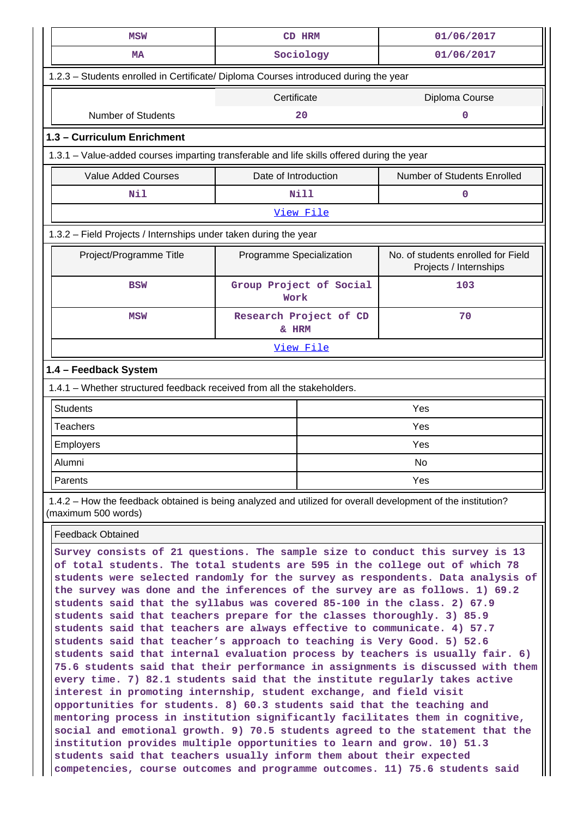| <b>MSW</b>                                                                                                                          | CD HRM                          | 01/06/2017                                                   |  |  |  |
|-------------------------------------------------------------------------------------------------------------------------------------|---------------------------------|--------------------------------------------------------------|--|--|--|
| <b>MA</b>                                                                                                                           | Sociology                       | 01/06/2017                                                   |  |  |  |
| 1.2.3 - Students enrolled in Certificate/ Diploma Courses introduced during the year                                                |                                 |                                                              |  |  |  |
|                                                                                                                                     | Certificate                     | Diploma Course                                               |  |  |  |
| <b>Number of Students</b>                                                                                                           | 20                              | 0                                                            |  |  |  |
| 1.3 - Curriculum Enrichment                                                                                                         |                                 |                                                              |  |  |  |
| 1.3.1 – Value-added courses imparting transferable and life skills offered during the year                                          |                                 |                                                              |  |  |  |
| <b>Value Added Courses</b>                                                                                                          | Date of Introduction            | Number of Students Enrolled                                  |  |  |  |
| Nil                                                                                                                                 | <b>Nill</b>                     | 0                                                            |  |  |  |
|                                                                                                                                     | View File                       |                                                              |  |  |  |
| 1.3.2 – Field Projects / Internships under taken during the year                                                                    |                                 |                                                              |  |  |  |
| Project/Programme Title                                                                                                             | Programme Specialization        | No. of students enrolled for Field<br>Projects / Internships |  |  |  |
| <b>BSW</b>                                                                                                                          | Group Project of Social<br>Work | 103                                                          |  |  |  |
| <b>MSW</b>                                                                                                                          | Research Project of CD<br>& HRM | 70                                                           |  |  |  |
|                                                                                                                                     | View File                       |                                                              |  |  |  |
| 1.4 - Feedback System                                                                                                               |                                 |                                                              |  |  |  |
| 1.4.1 - Whether structured feedback received from all the stakeholders.                                                             |                                 |                                                              |  |  |  |
| <b>Students</b>                                                                                                                     |                                 | Yes                                                          |  |  |  |
| <b>Teachers</b>                                                                                                                     | Yes                             |                                                              |  |  |  |
| <b>Employers</b>                                                                                                                    | Yes                             |                                                              |  |  |  |
| Alumni                                                                                                                              |                                 |                                                              |  |  |  |
| Parents                                                                                                                             |                                 | Yes                                                          |  |  |  |
| 1.4.2 - How the feedback obtained is being analyzed and utilized for overall development of the institution?<br>(maximum 500 words) |                                 |                                                              |  |  |  |
| <b>Feedback Obtained</b>                                                                                                            |                                 |                                                              |  |  |  |
| Survey consists of 21 questions. The sample size to conduct this survey is 13                                                       |                                 |                                                              |  |  |  |

**of total students. The total students are 595 in the college out of which 78 students were selected randomly for the survey as respondents. Data analysis of the survey was done and the inferences of the survey are as follows. 1) 69.2 students said that the syllabus was covered 85-100 in the class. 2) 67.9 students said that teachers prepare for the classes thoroughly. 3) 85.9 students said that teachers are always effective to communicate. 4) 57.7 students said that teacher's approach to teaching is Very Good. 5) 52.6 students said that internal evaluation process by teachers is usually fair. 6) 75.6 students said that their performance in assignments is discussed with them every time. 7) 82.1 students said that the institute regularly takes active interest in promoting internship, student exchange, and field visit opportunities for students. 8) 60.3 students said that the teaching and mentoring process in institution significantly facilitates them in cognitive, social and emotional growth. 9) 70.5 students agreed to the statement that the institution provides multiple opportunities to learn and grow. 10) 51.3 students said that teachers usually inform them about their expected competencies, course outcomes and programme outcomes. 11) 75.6 students said**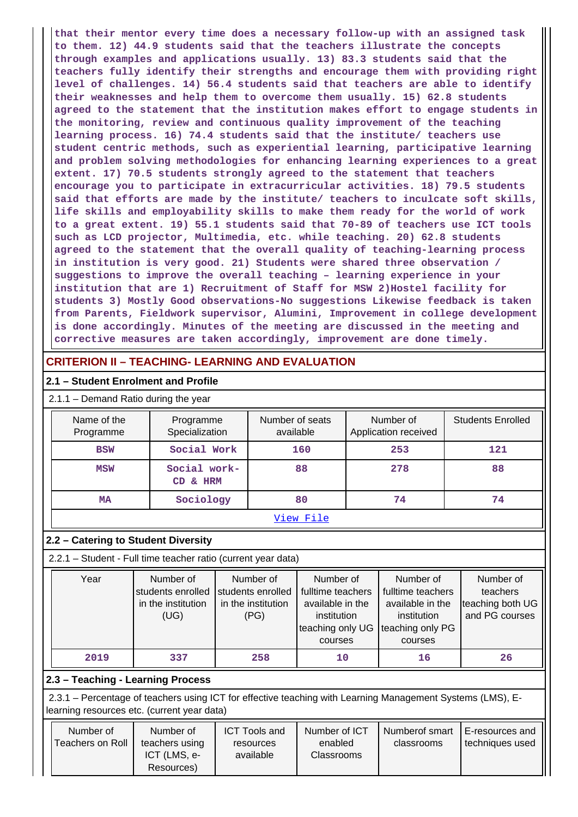**that their mentor every time does a necessary follow-up with an assigned task to them. 12) 44.9 students said that the teachers illustrate the concepts through examples and applications usually. 13) 83.3 students said that the teachers fully identify their strengths and encourage them with providing right level of challenges. 14) 56.4 students said that teachers are able to identify their weaknesses and help them to overcome them usually. 15) 62.8 students agreed to the statement that the institution makes effort to engage students in the monitoring, review and continuous quality improvement of the teaching learning process. 16) 74.4 students said that the institute/ teachers use student centric methods, such as experiential learning, participative learning and problem solving methodologies for enhancing learning experiences to a great extent. 17) 70.5 students strongly agreed to the statement that teachers encourage you to participate in extracurricular activities. 18) 79.5 students said that efforts are made by the institute/ teachers to inculcate soft skills, life skills and employability skills to make them ready for the world of work to a great extent. 19) 55.1 students said that 70-89 of teachers use ICT tools such as LCD projector, Multimedia, etc. while teaching. 20) 62.8 students agreed to the statement that the overall quality of teaching-learning process in institution is very good. 21) Students were shared three observation / suggestions to improve the overall teaching – learning experience in your institution that are 1) Recruitment of Staff for MSW 2)Hostel facility for students 3) Mostly Good observations-No suggestions Likewise feedback is taken from Parents, Fieldwork supervisor, Alumini, Improvement in college development is done accordingly. Minutes of the meeting are discussed in the meeting and corrective measures are taken accordingly, improvement are done timely.**

# **CRITERION II – TEACHING- LEARNING AND EVALUATION**

### **2.1 – Student Enrolment and Profile**

| $\vert$ 2.1.1 – Demand Ratio during the year |  |
|----------------------------------------------|--|
|----------------------------------------------|--|

| Name of the<br>Programme | Programme<br>Specialization | Number of seats<br>available | Number of<br>Application received | <b>Students Enrolled</b> |
|--------------------------|-----------------------------|------------------------------|-----------------------------------|--------------------------|
| <b>BSW</b>               | Social Work                 | 160                          | 253                               | 121                      |
| <b>MSW</b>               | Social work-<br>CD & HRM    | 88                           | 278                               | 88                       |
| <b>MA</b>                | Sociology                   | 80                           | 74                                | 74                       |
|                          |                             | View File                    |                                   |                          |

### **2.2 – Catering to Student Diversity**

2.2.1 – Student - Full time teacher ratio (current year data)

| Year | Number of<br>students enrolled Students enrolled<br>in the institution<br>(UG) | Number of<br>in the institution<br>(PG) | Number of<br>fulltime teachers<br>available in the<br>institution<br>teaching only UG<br>courses | Number of<br>fulltime teachers<br>available in the<br>institution<br>teaching only PG<br>courses | Number of<br>teachers<br>teaching both UG<br>and PG courses |
|------|--------------------------------------------------------------------------------|-----------------------------------------|--------------------------------------------------------------------------------------------------|--------------------------------------------------------------------------------------------------|-------------------------------------------------------------|
| 2019 | 337                                                                            | 258                                     | 10                                                                                               | 16                                                                                               | 26                                                          |

# **2.3 – Teaching - Learning Process**

 2.3.1 – Percentage of teachers using ICT for effective teaching with Learning Management Systems (LMS), Elearning resources etc. (current year data)

| Number of<br>Teachers on Roll | Number of<br>teachers using<br>ICT (LMS, e-<br>Resources) | <b>ICT Tools and</b><br>resources<br>available | Number of ICT<br>enabled<br>Classrooms | Numberof smart<br>classrooms | E-resources and<br>l techniques used |
|-------------------------------|-----------------------------------------------------------|------------------------------------------------|----------------------------------------|------------------------------|--------------------------------------|
|-------------------------------|-----------------------------------------------------------|------------------------------------------------|----------------------------------------|------------------------------|--------------------------------------|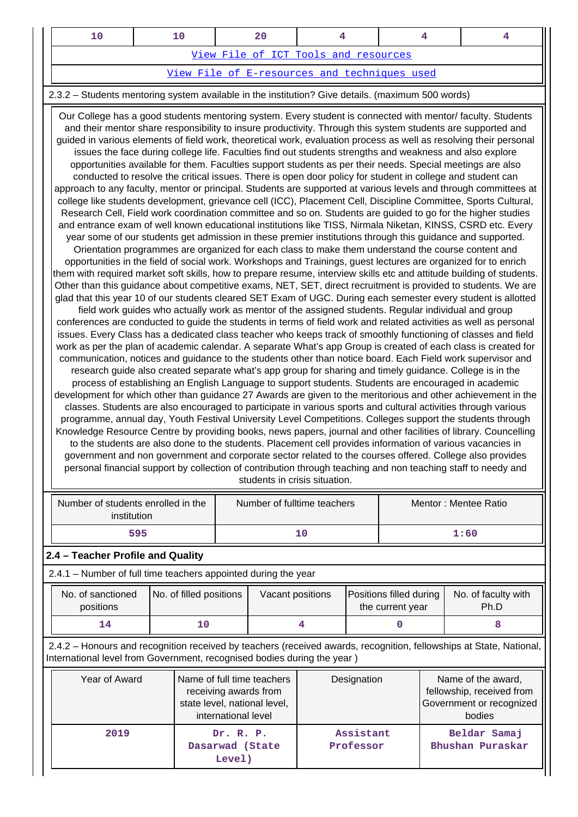|                                              |  | 20 |                                      |  |  |  |  |
|----------------------------------------------|--|----|--------------------------------------|--|--|--|--|
|                                              |  |    | View File of ICT Tools and resources |  |  |  |  |
| View File of E-resources and techniques used |  |    |                                      |  |  |  |  |

### 2.3.2 – Students mentoring system available in the institution? Give details. (maximum 500 words)

 Our College has a good students mentoring system. Every student is connected with mentor/ faculty. Students and their mentor share responsibility to insure productivity. Through this system students are supported and guided in various elements of field work, theoretical work, evaluation process as well as resolving their personal issues the face during college life. Faculties find out students strengths and weakness and also explore opportunities available for them. Faculties support students as per their needs. Special meetings are also conducted to resolve the critical issues. There is open door policy for student in college and student can approach to any faculty, mentor or principal. Students are supported at various levels and through committees at college like students development, grievance cell (ICC), Placement Cell, Discipline Committee, Sports Cultural, Research Cell, Field work coordination committee and so on. Students are guided to go for the higher studies and entrance exam of well known educational institutions like TISS, Nirmala Niketan, KINSS, CSRD etc. Every year some of our students get admission in these premier institutions through this guidance and supported. Orientation programmes are organized for each class to make them understand the course content and opportunities in the field of social work. Workshops and Trainings, guest lectures are organized for to enrich them with required market soft skills, how to prepare resume, interview skills etc and attitude building of students. Other than this guidance about competitive exams, NET, SET, direct recruitment is provided to students. We are glad that this year 10 of our students cleared SET Exam of UGC. During each semester every student is allotted field work guides who actually work as mentor of the assigned students. Regular individual and group conferences are conducted to guide the students in terms of field work and related activities as well as personal issues. Every Class has a dedicated class teacher who keeps track of smoothly functioning of classes and field work as per the plan of academic calendar. A separate What's app Group is created of each class is created for communication, notices and guidance to the students other than notice board. Each Field work supervisor and research guide also created separate what's app group for sharing and timely guidance. College is in the process of establishing an English Language to support students. Students are encouraged in academic development for which other than guidance 27 Awards are given to the meritorious and other achievement in the classes. Students are also encouraged to participate in various sports and cultural activities through various programme, annual day, Youth Festival University Level Competitions. Colleges support the students through Knowledge Resource Centre by providing books, news papers, journal and other facilities of library. Councelling to the students are also done to the students. Placement cell provides information of various vacancies in government and non government and corporate sector related to the courses offered. College also provides personal financial support by collection of contribution through teaching and non teaching staff to needy and students in crisis situation.

| Number of students enrolled in the<br>institution | Number of fulltime teachers | Mentor: Mentee Ratio |
|---------------------------------------------------|-----------------------------|----------------------|
| 595                                               | 1 C                         | 1:60                 |

### **2.4 – Teacher Profile and Quality**

2.4.1 – Number of full time teachers appointed during the year

| No. of sanctioned<br>positions | No. of filled positions | Vacant positions | <b>Positions filled during   No. of faculty with</b><br>the current year | Ph.D |
|--------------------------------|-------------------------|------------------|--------------------------------------------------------------------------|------|
|                                |                         |                  |                                                                          |      |

 2.4.2 – Honours and recognition received by teachers (received awards, recognition, fellowships at State, National, International level from Government, recognised bodies during the year )

| Year of Award | Name of full time teachers<br>receiving awards from<br>state level, national level,<br>international level | Designation            | Name of the award,<br>fellowship, received from<br>Government or recognized<br>bodies |
|---------------|------------------------------------------------------------------------------------------------------------|------------------------|---------------------------------------------------------------------------------------|
| 2019          | Dr. R. P.<br>Dasarwad (State<br>Level)                                                                     | Assistant<br>Professor | Beldar Samaj<br>Bhushan Puraskar                                                      |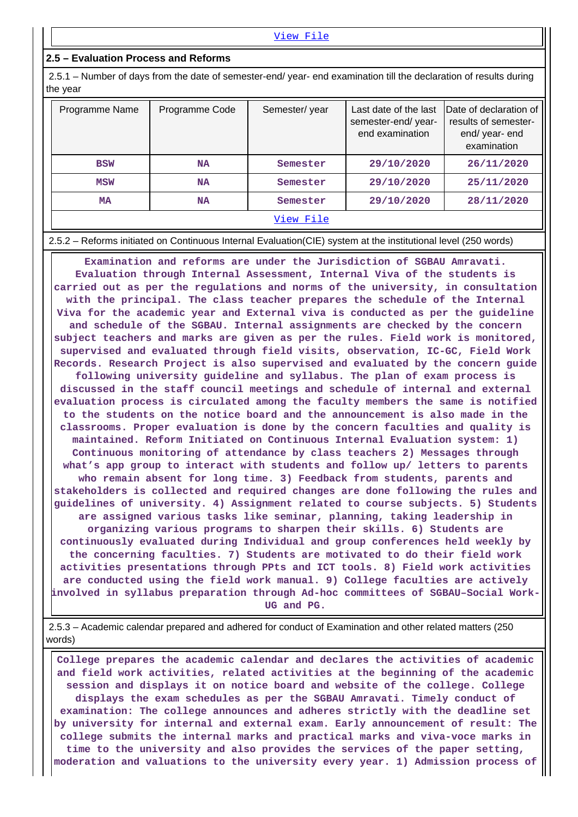#### **2.5 – Evaluation Process and Reforms**

 2.5.1 – Number of days from the date of semester-end/ year- end examination till the declaration of results during the year

| Programme Name | Programme Code | Semester/year | Last date of the last<br>semester-end/year-<br>end examination | Date of declaration of<br>results of semester-<br>end/year-end<br>examination |
|----------------|----------------|---------------|----------------------------------------------------------------|-------------------------------------------------------------------------------|
| <b>BSW</b>     | <b>NA</b>      | Semester      | 29/10/2020                                                     | 26/11/2020                                                                    |
| <b>MSW</b>     | <b>NA</b>      | Semester      | 29/10/2020                                                     | 25/11/2020                                                                    |
| MA             | <b>NA</b>      | Semester      | 29/10/2020                                                     | 28/11/2020                                                                    |
|                |                | View File     |                                                                |                                                                               |

2.5.2 – Reforms initiated on Continuous Internal Evaluation(CIE) system at the institutional level (250 words)

 **Examination and reforms are under the Jurisdiction of SGBAU Amravati. Evaluation through Internal Assessment, Internal Viva of the students is carried out as per the regulations and norms of the university, in consultation with the principal. The class teacher prepares the schedule of the Internal Viva for the academic year and External viva is conducted as per the guideline and schedule of the SGBAU. Internal assignments are checked by the concern subject teachers and marks are given as per the rules. Field work is monitored, supervised and evaluated through field visits, observation, IC-GC, Field Work Records. Research Project is also supervised and evaluated by the concern guide following university guideline and syllabus. The plan of exam process is discussed in the staff council meetings and schedule of internal and external evaluation process is circulated among the faculty members the same is notified to the students on the notice board and the announcement is also made in the classrooms. Proper evaluation is done by the concern faculties and quality is maintained. Reform Initiated on Continuous Internal Evaluation system: 1) Continuous monitoring of attendance by class teachers 2) Messages through what's app group to interact with students and follow up/ letters to parents who remain absent for long time. 3) Feedback from students, parents and stakeholders is collected and required changes are done following the rules and guidelines of university. 4) Assignment related to course subjects. 5) Students are assigned various tasks like seminar, planning, taking leadership in organizing various programs to sharpen their skills. 6) Students are continuously evaluated during Individual and group conferences held weekly by the concerning faculties. 7) Students are motivated to do their field work activities presentations through PPts and ICT tools. 8) Field work activities are conducted using the field work manual. 9) College faculties are actively involved in syllabus preparation through Ad-hoc committees of SGBAU–Social Work-UG and PG.**

 2.5.3 – Academic calendar prepared and adhered for conduct of Examination and other related matters (250 words)

 **College prepares the academic calendar and declares the activities of academic and field work activities, related activities at the beginning of the academic session and displays it on notice board and website of the college. College displays the exam schedules as per the SGBAU Amravati. Timely conduct of examination: The college announces and adheres strictly with the deadline set by university for internal and external exam. Early announcement of result: The college submits the internal marks and practical marks and viva-voce marks in time to the university and also provides the services of the paper setting, moderation and valuations to the university every year. 1) Admission process of**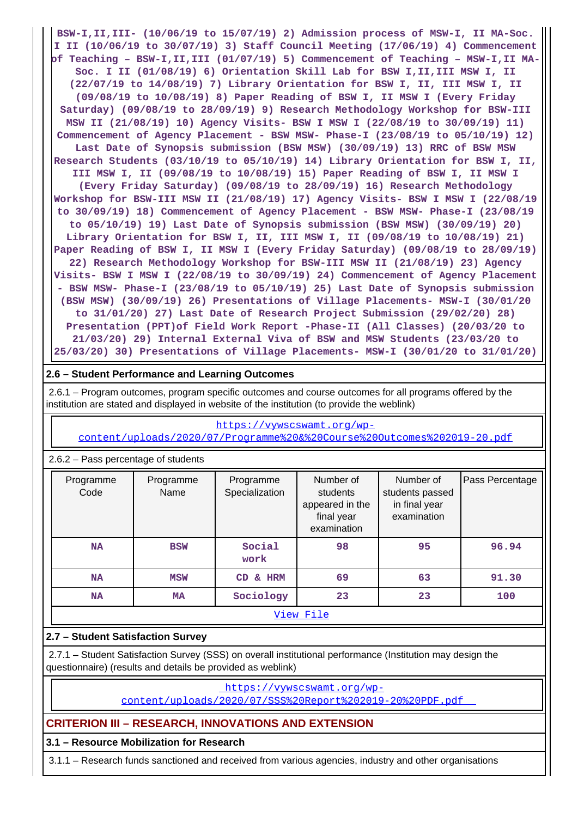**BSW-I,II,III- (10/06/19 to 15/07/19) 2) Admission process of MSW-I, II MA-Soc. I II (10/06/19 to 30/07/19) 3) Staff Council Meeting (17/06/19) 4) Commencement of Teaching – BSW-I,II,III (01/07/19) 5) Commencement of Teaching – MSW-I,II MA-Soc. I II (01/08/19) 6) Orientation Skill Lab for BSW I,II,III MSW I, II (22/07/19 to 14/08/19) 7) Library Orientation for BSW I, II, III MSW I, II (09/08/19 to 10/08/19) 8) Paper Reading of BSW I, II MSW I (Every Friday Saturday) (09/08/19 to 28/09/19) 9) Research Methodology Workshop for BSW-III MSW II (21/08/19) 10) Agency Visits- BSW I MSW I (22/08/19 to 30/09/19) 11) Commencement of Agency Placement - BSW MSW- Phase-I (23/08/19 to 05/10/19) 12) Last Date of Synopsis submission (BSW MSW) (30/09/19) 13) RRC of BSW MSW Research Students (03/10/19 to 05/10/19) 14) Library Orientation for BSW I, II, III MSW I, II (09/08/19 to 10/08/19) 15) Paper Reading of BSW I, II MSW I (Every Friday Saturday) (09/08/19 to 28/09/19) 16) Research Methodology Workshop for BSW-III MSW II (21/08/19) 17) Agency Visits- BSW I MSW I (22/08/19 to 30/09/19) 18) Commencement of Agency Placement - BSW MSW- Phase-I (23/08/19 to 05/10/19) 19) Last Date of Synopsis submission (BSW MSW) (30/09/19) 20) Library Orientation for BSW I, II, III MSW I, II (09/08/19 to 10/08/19) 21) Paper Reading of BSW I, II MSW I (Every Friday Saturday) (09/08/19 to 28/09/19) 22) Research Methodology Workshop for BSW-III MSW II (21/08/19) 23) Agency Visits- BSW I MSW I (22/08/19 to 30/09/19) 24) Commencement of Agency Placement - BSW MSW- Phase-I (23/08/19 to 05/10/19) 25) Last Date of Synopsis submission (BSW MSW) (30/09/19) 26) Presentations of Village Placements- MSW-I (30/01/20 to 31/01/20) 27) Last Date of Research Project Submission (29/02/20) 28) Presentation (PPT)of Field Work Report -Phase-II (All Classes) (20/03/20 to 21/03/20) 29) Internal External Viva of BSW and MSW Students (23/03/20 to 25/03/20) 30) Presentations of Village Placements- MSW-I (30/01/20 to 31/01/20)**

### **2.6 – Student Performance and Learning Outcomes**

 2.6.1 – Program outcomes, program specific outcomes and course outcomes for all programs offered by the institution are stated and displayed in website of the institution (to provide the weblink)

#### [https://vywscswamt.org/wp-](https://vywscswamt.org/wp-content/uploads/2020/07/Programme%20&%20Course%20Outcomes%202019-20.pdf)

[content/uploads/2020/07/Programme%20&%20Course%20Outcomes%202019-20.pdf](https://vywscswamt.org/wp-content/uploads/2020/07/Programme%20&%20Course%20Outcomes%202019-20.pdf)

| Programme<br>Code      | Programme<br>Name | Number of<br>Programme<br>Specialization<br>students<br>appeared in the<br>final year<br>examination |    | Number of<br>students passed<br>in final year<br>examination | Pass Percentage |  |  |  |  |  |
|------------------------|-------------------|------------------------------------------------------------------------------------------------------|----|--------------------------------------------------------------|-----------------|--|--|--|--|--|
| <b>NA</b>              | <b>BSW</b>        | Social<br>work                                                                                       | 98 | 95                                                           | 96.94           |  |  |  |  |  |
| <b>NA</b>              | <b>MSW</b>        | <b>HRM</b><br><b>CD</b><br>୍ବ                                                                        | 69 | 63                                                           | 91.30           |  |  |  |  |  |
| <b>NA</b><br><b>MA</b> |                   | Sociology                                                                                            | 23 | 23                                                           | 100             |  |  |  |  |  |
| View File              |                   |                                                                                                      |    |                                                              |                 |  |  |  |  |  |

#### 2.6.2 – Pass percentage of students

### **2.7 – Student Satisfaction Survey**

 2.7.1 – Student Satisfaction Survey (SSS) on overall institutional performance (Institution may design the questionnaire) (results and details be provided as weblink)

[https://vywscswamt.org/wp-](https://vywscswamt.org/wp-content/uploads/2020/07/SSS%20Report%202019-20%20PDF.pdf)

[content/uploads/2020/07/SSS%20Report%202019-20%20PDF.pdf](https://vywscswamt.org/wp-content/uploads/2020/07/SSS%20Report%202019-20%20PDF.pdf) 

# **CRITERION III – RESEARCH, INNOVATIONS AND EXTENSION**

# **3.1 – Resource Mobilization for Research**

3.1.1 – Research funds sanctioned and received from various agencies, industry and other organisations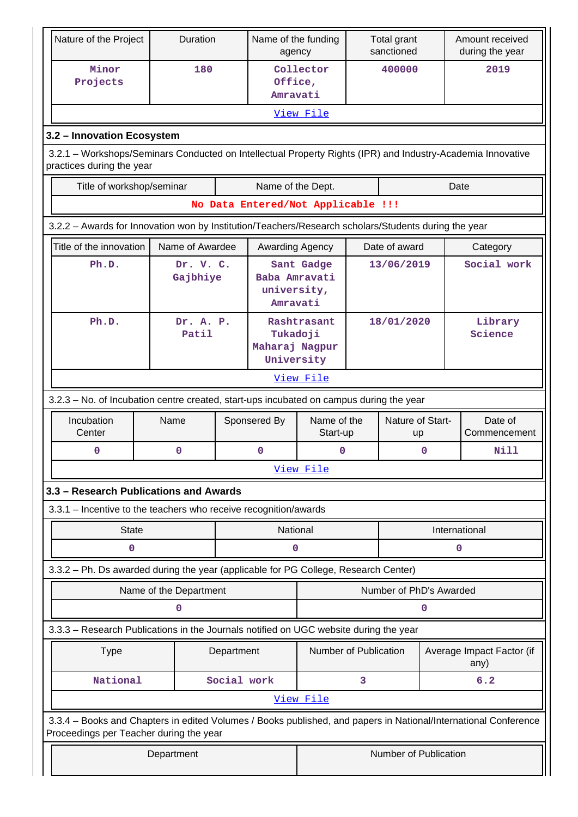| Nature of the Project                                                                                                                                      |                                                                                                                                          | Duration               |             | Name of the funding<br>agency            |                         |            | Total grant<br>sanctioned |             | Amount received<br>during the year |
|------------------------------------------------------------------------------------------------------------------------------------------------------------|------------------------------------------------------------------------------------------------------------------------------------------|------------------------|-------------|------------------------------------------|-------------------------|------------|---------------------------|-------------|------------------------------------|
| Minor<br>180<br>Projects<br>Office,<br>Amravati                                                                                                            |                                                                                                                                          | Collector              |             | 400000                                   |                         | 2019       |                           |             |                                    |
|                                                                                                                                                            | View File                                                                                                                                |                        |             |                                          |                         |            |                           |             |                                    |
| 3.2 - Innovation Ecosystem                                                                                                                                 |                                                                                                                                          |                        |             |                                          |                         |            |                           |             |                                    |
|                                                                                                                                                            | 3.2.1 – Workshops/Seminars Conducted on Intellectual Property Rights (IPR) and Industry-Academia Innovative<br>practices during the year |                        |             |                                          |                         |            |                           |             |                                    |
| Title of workshop/seminar                                                                                                                                  |                                                                                                                                          |                        |             | Name of the Dept.                        |                         |            |                           |             | Date                               |
|                                                                                                                                                            |                                                                                                                                          |                        |             | No Data Entered/Not Applicable !!!       |                         |            |                           |             |                                    |
| 3.2.2 - Awards for Innovation won by Institution/Teachers/Research scholars/Students during the year                                                       |                                                                                                                                          |                        |             |                                          |                         |            |                           |             |                                    |
| Title of the innovation                                                                                                                                    |                                                                                                                                          | Name of Awardee        |             | Awarding Agency                          |                         |            | Date of award             |             | Category                           |
| Ph.D.                                                                                                                                                      |                                                                                                                                          | Dr. V. C.<br>Gajbhiye  |             | Baba Amravati<br>university,<br>Amravati | Sant Gadge              |            | 13/06/2019                |             | Social work                        |
| Ph.D.                                                                                                                                                      |                                                                                                                                          | Dr. A. P.<br>Patil     |             | Tukadoji<br>Maharaj Nagpur<br>University | Rashtrasant             | 18/01/2020 |                           |             | Library<br>Science                 |
|                                                                                                                                                            |                                                                                                                                          |                        |             |                                          | View File               |            |                           |             |                                    |
| 3.2.3 - No. of Incubation centre created, start-ups incubated on campus during the year                                                                    |                                                                                                                                          |                        |             |                                          |                         |            |                           |             |                                    |
| Incubation<br>Center                                                                                                                                       | Name                                                                                                                                     |                        |             | Sponsered By                             | Name of the<br>Start-up |            | Nature of Start-<br>up    |             | Date of<br>Commencement            |
| 0                                                                                                                                                          |                                                                                                                                          | $\mathbf 0$            |             | $\mathbf 0$                              | $\mathbf 0$             |            |                           | $\mathbf 0$ | Nill                               |
|                                                                                                                                                            |                                                                                                                                          |                        |             |                                          | View File               |            |                           |             |                                    |
| 3.3 - Research Publications and Awards                                                                                                                     |                                                                                                                                          |                        |             |                                          |                         |            |                           |             |                                    |
| 3.3.1 - Incentive to the teachers who receive recognition/awards                                                                                           |                                                                                                                                          |                        |             |                                          |                         |            |                           |             |                                    |
| <b>State</b>                                                                                                                                               |                                                                                                                                          |                        |             | National                                 |                         |            |                           |             | International                      |
| 0                                                                                                                                                          |                                                                                                                                          |                        |             | 0                                        |                         |            |                           |             | 0                                  |
| 3.3.2 - Ph. Ds awarded during the year (applicable for PG College, Research Center)                                                                        |                                                                                                                                          |                        |             |                                          |                         |            |                           |             |                                    |
|                                                                                                                                                            |                                                                                                                                          | Name of the Department |             |                                          |                         |            | Number of PhD's Awarded   |             |                                    |
|                                                                                                                                                            |                                                                                                                                          | 0                      |             |                                          |                         |            |                           | 0           |                                    |
| 3.3.3 - Research Publications in the Journals notified on UGC website during the year                                                                      |                                                                                                                                          |                        |             |                                          |                         |            |                           |             |                                    |
| Number of Publication<br>Average Impact Factor (if<br><b>Type</b><br>Department<br>any)                                                                    |                                                                                                                                          |                        |             |                                          |                         |            |                           |             |                                    |
| National                                                                                                                                                   |                                                                                                                                          |                        | Social work |                                          |                         | 3          |                           |             | 6.2                                |
|                                                                                                                                                            |                                                                                                                                          |                        |             |                                          | View File               |            |                           |             |                                    |
| 3.3.4 - Books and Chapters in edited Volumes / Books published, and papers in National/International Conference<br>Proceedings per Teacher during the year |                                                                                                                                          |                        |             |                                          |                         |            |                           |             |                                    |
| Number of Publication<br>Department                                                                                                                        |                                                                                                                                          |                        |             |                                          |                         |            |                           |             |                                    |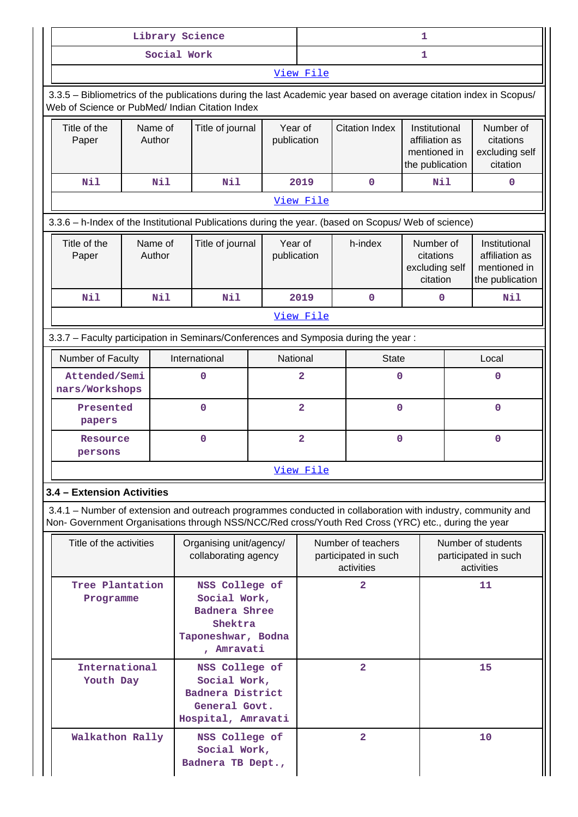| Library Science                                                                                                                                                                                                    |  |                                                                                                |                                                                                           |                        | 1                       |                                                          |   |                                                                    |             |                                                                    |
|--------------------------------------------------------------------------------------------------------------------------------------------------------------------------------------------------------------------|--|------------------------------------------------------------------------------------------------|-------------------------------------------------------------------------------------------|------------------------|-------------------------|----------------------------------------------------------|---|--------------------------------------------------------------------|-------------|--------------------------------------------------------------------|
| Social Work                                                                                                                                                                                                        |  |                                                                                                |                                                                                           | 1                      |                         |                                                          |   |                                                                    |             |                                                                    |
| View File                                                                                                                                                                                                          |  |                                                                                                |                                                                                           |                        |                         |                                                          |   |                                                                    |             |                                                                    |
| 3.3.5 - Bibliometrics of the publications during the last Academic year based on average citation index in Scopus/<br>Web of Science or PubMed/ Indian Citation Index                                              |  |                                                                                                |                                                                                           |                        |                         |                                                          |   |                                                                    |             |                                                                    |
| Title of the<br>Name of<br>Author<br>Paper                                                                                                                                                                         |  |                                                                                                | Title of journal                                                                          | Year of<br>publication |                         | <b>Citation Index</b>                                    |   | Institutional<br>affiliation as<br>mentioned in<br>the publication |             | Number of<br>citations<br>excluding self<br>citation               |
| Nil                                                                                                                                                                                                                |  | Nil                                                                                            | Nil                                                                                       |                        | 2019                    | 0                                                        |   | Nil                                                                |             | 0                                                                  |
|                                                                                                                                                                                                                    |  |                                                                                                |                                                                                           |                        | View File               |                                                          |   |                                                                    |             |                                                                    |
| 3.3.6 - h-Index of the Institutional Publications during the year. (based on Scopus/ Web of science)                                                                                                               |  |                                                                                                |                                                                                           |                        |                         |                                                          |   |                                                                    |             |                                                                    |
| Title of the<br>Paper                                                                                                                                                                                              |  | Name of<br>Author                                                                              | Title of journal                                                                          | Year of<br>publication |                         | h-index                                                  |   | Number of<br>citations<br>excluding self<br>citation               |             | Institutional<br>affiliation as<br>mentioned in<br>the publication |
| Nil                                                                                                                                                                                                                |  | Nil                                                                                            | <b>Nil</b>                                                                                |                        | 2019                    | 0                                                        |   | 0                                                                  |             | Nil                                                                |
|                                                                                                                                                                                                                    |  |                                                                                                |                                                                                           |                        | View File               |                                                          |   |                                                                    |             |                                                                    |
| 3.3.7 - Faculty participation in Seminars/Conferences and Symposia during the year:                                                                                                                                |  |                                                                                                |                                                                                           |                        |                         |                                                          |   |                                                                    |             |                                                                    |
| Number of Faculty                                                                                                                                                                                                  |  |                                                                                                | International                                                                             |                        | National                | <b>State</b>                                             |   | Local                                                              |             |                                                                    |
| Attended/Semi<br>nars/Workshops                                                                                                                                                                                    |  |                                                                                                | $\mathbf 0$                                                                               |                        | $\overline{\mathbf{2}}$ |                                                          | 0 |                                                                    | $\mathbf 0$ |                                                                    |
| Presented<br>papers                                                                                                                                                                                                |  |                                                                                                | $\mathbf 0$                                                                               |                        | $\overline{\mathbf{2}}$ | 0                                                        |   |                                                                    | $\mathbf 0$ |                                                                    |
| Resource<br>persons                                                                                                                                                                                                |  |                                                                                                | $\mathbf 0$                                                                               |                        | $\overline{2}$<br>0     |                                                          |   |                                                                    | $\mathbf 0$ |                                                                    |
|                                                                                                                                                                                                                    |  |                                                                                                |                                                                                           |                        | View File               |                                                          |   |                                                                    |             |                                                                    |
| 3.4 - Extension Activities                                                                                                                                                                                         |  |                                                                                                |                                                                                           |                        |                         |                                                          |   |                                                                    |             |                                                                    |
| 3.4.1 – Number of extension and outreach programmes conducted in collaboration with industry, community and<br>Non- Government Organisations through NSS/NCC/Red cross/Youth Red Cross (YRC) etc., during the year |  |                                                                                                |                                                                                           |                        |                         |                                                          |   |                                                                    |             |                                                                    |
| Title of the activities                                                                                                                                                                                            |  |                                                                                                | Organising unit/agency/<br>collaborating agency                                           |                        |                         | Number of teachers<br>participated in such<br>activities |   |                                                                    |             | Number of students<br>participated in such<br>activities           |
| Tree Plantation<br>Programme                                                                                                                                                                                       |  | NSS College of<br>Social Work,<br>Badnera Shree<br>Shektra<br>Taponeshwar, Bodna<br>, Amravati |                                                                                           |                        | $\overline{\mathbf{2}}$ |                                                          |   |                                                                    | 11          |                                                                    |
| International<br>Youth Day                                                                                                                                                                                         |  |                                                                                                | NSS College of<br>Social Work,<br>Badnera District<br>General Govt.<br>Hospital, Amravati |                        |                         | $\overline{a}$                                           |   |                                                                    |             | 15                                                                 |
| Walkathon Rally                                                                                                                                                                                                    |  |                                                                                                | NSS College of<br>Social Work,<br>Badnera TB Dept.,                                       |                        |                         | $\overline{2}$                                           |   |                                                                    |             | 10                                                                 |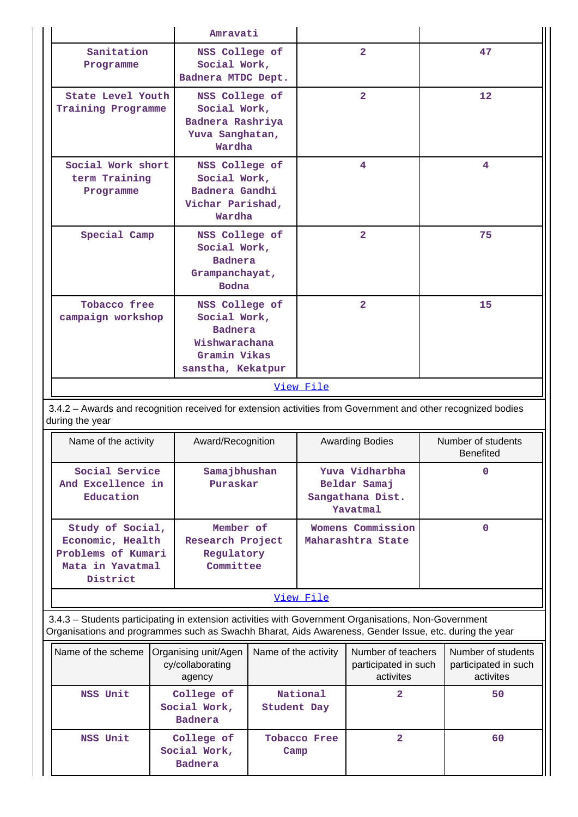|                                                                                                                                             | Amravati                                                                           |                                                                       |                                 |
|---------------------------------------------------------------------------------------------------------------------------------------------|------------------------------------------------------------------------------------|-----------------------------------------------------------------------|---------------------------------|
| Sanitation<br>Programme                                                                                                                     | NSS College of<br>Social Work,<br>Badnera MTDC Dept.                               | $\overline{2}$                                                        | 47                              |
| State Level Youth<br>Training Programme                                                                                                     | NSS College of<br>Social Work,<br>Badnera Rashriya<br>Yuva Sanghatan,<br>Wardha    | $\overline{2}$                                                        | 12                              |
| Social Work short<br>term Training<br>Programme                                                                                             | NSS College of<br>Social Work,<br>Badnera Gandhi<br>Vichar Parishad,<br>Wardha     | 4                                                                     | 4                               |
| Special Camp                                                                                                                                | NSS College of<br>Social Work,<br><b>Badnera</b><br>Grampanchayat,<br><b>Bodna</b> | $\overline{2}$                                                        | 75                              |
| Tobacco free<br>NSS College of<br>campaign workshop<br>Social Work,<br><b>Badnera</b><br>Wishwarachana<br>Gramin Vikas<br>sanstha, Kekatpur |                                                                                    | $\overline{2}$                                                        | 15                              |
|                                                                                                                                             |                                                                                    | View File                                                             |                                 |
| 3.4.2 - Awards and recognition received for extension activities from Government and other recognized bodies<br>during the year             |                                                                                    |                                                                       |                                 |
| Name of the activity                                                                                                                        | Award/Recognition                                                                  | <b>Awarding Bodies</b>                                                | Number of students<br>Benefited |
| Social Service<br>And Excellence in<br>Education                                                                                            | Samajbhushan<br>Puraskar                                                           | Yuva Vidharbha<br>Beldar Samaj<br>Sangathana Dist.<br><b>Yavatmal</b> | 0                               |

| Name of the activity                                                                       | Award/Recognition                                        | <b>Awarding Bodies</b>                                         | Number of students<br><b>Benefited</b> |  |  |  |
|--------------------------------------------------------------------------------------------|----------------------------------------------------------|----------------------------------------------------------------|----------------------------------------|--|--|--|
| Social Service<br>And Excellence in<br>Education                                           | Samajbhushan<br>Puraskar                                 | Yuva Vidharbha<br>Beldar Samaj<br>Sangathana Dist.<br>Yavatmal | 0                                      |  |  |  |
| Study of Social,<br>Economic, Health<br>Problems of Kumari<br>Mata in Yavatmal<br>District | Member of<br>Research Project<br>Regulatory<br>Committee | Womens Commission<br>Maharashtra State                         | 0                                      |  |  |  |
| View File                                                                                  |                                                          |                                                                |                                        |  |  |  |

 3.4.3 – Students participating in extension activities with Government Organisations, Non-Government Organisations and programmes such as Swachh Bharat, Aids Awareness, Gender Issue, etc. during the year

| Name of the scheme | Organising unit/Agen<br>cy/collaborating<br>agency | Name of the activity        | Number of teachers<br>participated in such<br>activites | Number of students<br>participated in such<br>activites |
|--------------------|----------------------------------------------------|-----------------------------|---------------------------------------------------------|---------------------------------------------------------|
| NSS Unit           | College of<br>Social Work,<br><b>Badnera</b>       | National<br>Student Day     |                                                         | 50                                                      |
| NSS Unit           | College of<br>Social Work,<br><b>Badnera</b>       | <b>Tobacco Free</b><br>Camp |                                                         | 60                                                      |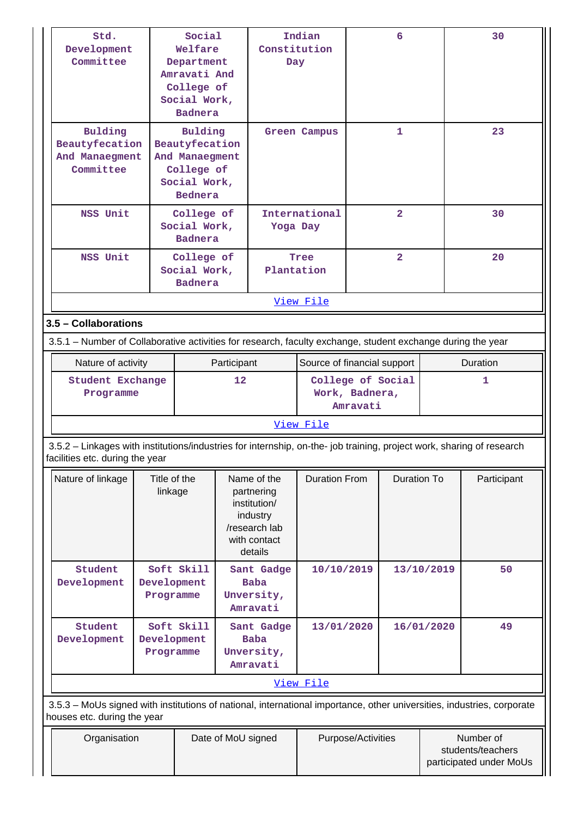| Std.<br>Development<br>Committee                                                                                                                         |                                   | Social<br>Welfare<br>Department<br>Amravati And<br>College of<br>Social Work,<br><b>Badnera</b> |                                                                                  | Constitution<br>Day                                                                               | Indian                      |                            | 6                       |            | 30                                                        |
|----------------------------------------------------------------------------------------------------------------------------------------------------------|-----------------------------------|-------------------------------------------------------------------------------------------------|----------------------------------------------------------------------------------|---------------------------------------------------------------------------------------------------|-----------------------------|----------------------------|-------------------------|------------|-----------------------------------------------------------|
| Bulding<br>Beautyfecation<br>And Manaegment<br>Committee                                                                                                 |                                   | <b>Bednera</b>                                                                                  | <b>Bulding</b><br>Beautyfecation<br>And Manaegment<br>College of<br>Social Work, |                                                                                                   | <b>Green Campus</b>         |                            | $\mathbf{1}$            |            | 23                                                        |
| NSS Unit                                                                                                                                                 |                                   | College of<br>Social Work,<br><b>Badnera</b>                                                    |                                                                                  | Yoga Day                                                                                          | International               |                            | $\overline{\mathbf{2}}$ |            | 30                                                        |
| NSS Unit                                                                                                                                                 |                                   | College of<br>Social Work,<br><b>Badnera</b>                                                    |                                                                                  | Plantation                                                                                        | Tree                        | $\overline{2}$             |                         |            | 20                                                        |
|                                                                                                                                                          |                                   |                                                                                                 |                                                                                  |                                                                                                   | View File                   |                            |                         |            |                                                           |
| 3.5 - Collaborations                                                                                                                                     |                                   |                                                                                                 |                                                                                  |                                                                                                   |                             |                            |                         |            |                                                           |
| 3.5.1 – Number of Collaborative activities for research, faculty exchange, student exchange during the year                                              |                                   |                                                                                                 |                                                                                  |                                                                                                   |                             |                            |                         |            |                                                           |
|                                                                                                                                                          | Nature of activity<br>Participant |                                                                                                 |                                                                                  |                                                                                                   | Source of financial support |                            |                         |            | Duration                                                  |
| <b>Student Exchange</b><br>Programme                                                                                                                     |                                   |                                                                                                 | 12                                                                               | College of Social                                                                                 |                             | Work, Badnera,<br>Amravati |                         |            | 1                                                         |
|                                                                                                                                                          |                                   |                                                                                                 |                                                                                  |                                                                                                   | View File                   |                            |                         |            |                                                           |
| 3.5.2 - Linkages with institutions/industries for internship, on-the- job training, project work, sharing of research<br>facilities etc. during the year |                                   |                                                                                                 |                                                                                  |                                                                                                   |                             |                            |                         |            |                                                           |
| Nature of linkage                                                                                                                                        |                                   | Title of the<br>linkage                                                                         |                                                                                  | Name of the<br>partnering<br>institution/<br>industry<br>/research lab<br>with contact<br>details | <b>Duration From</b>        |                            | Duration To             |            | Participant                                               |
| Student<br>Development                                                                                                                                   |                                   | Soft Skill<br>Development<br>Programme                                                          |                                                                                  | Sant Gadge<br><b>Baba</b><br>Unversity,<br>Amravati                                               | 10/10/2019                  |                            |                         | 13/10/2019 | 50                                                        |
| Student<br>Development                                                                                                                                   |                                   | Soft Skill<br>Development<br>Programme                                                          |                                                                                  | Sant Gadge<br><b>Baba</b><br>Unversity,<br>Amravati                                               | 13/01/2020                  |                            |                         | 16/01/2020 | 49                                                        |
|                                                                                                                                                          |                                   |                                                                                                 |                                                                                  |                                                                                                   | View File                   |                            |                         |            |                                                           |
| 3.5.3 - MoUs signed with institutions of national, international importance, other universities, industries, corporate<br>houses etc. during the year    |                                   |                                                                                                 |                                                                                  |                                                                                                   |                             |                            |                         |            |                                                           |
| Organisation<br>Date of MoU signed                                                                                                                       |                                   |                                                                                                 |                                                                                  |                                                                                                   |                             | Purpose/Activities         |                         |            | Number of<br>students/teachers<br>participated under MoUs |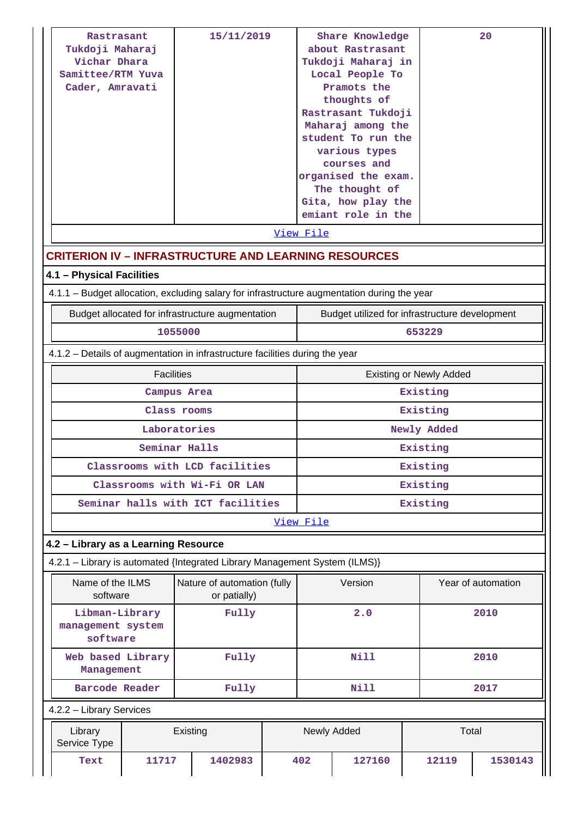| Rastrasant<br>Tukdoji Maharaj<br>Vichar Dhara<br>Samittee/RTM Yuva<br>Cader, Amravati       | 15/11/2019                                                                   |     |                                                |             | Share Knowledge<br>about Rastrasant<br>Tukdoji Maharaj in<br>Local People To<br>Rastrasant Tukdoji<br>Maharaj among the<br>student To run the<br>organised the exam.<br>Gita, how play the<br>emiant role in the |                                | 20                 |  |
|---------------------------------------------------------------------------------------------|------------------------------------------------------------------------------|-----|------------------------------------------------|-------------|------------------------------------------------------------------------------------------------------------------------------------------------------------------------------------------------------------------|--------------------------------|--------------------|--|
|                                                                                             |                                                                              |     | View File                                      |             |                                                                                                                                                                                                                  |                                |                    |  |
| <b>CRITERION IV - INFRASTRUCTURE AND LEARNING RESOURCES</b>                                 |                                                                              |     |                                                |             |                                                                                                                                                                                                                  |                                |                    |  |
| 4.1 - Physical Facilities                                                                   |                                                                              |     |                                                |             |                                                                                                                                                                                                                  |                                |                    |  |
| 4.1.1 – Budget allocation, excluding salary for infrastructure augmentation during the year |                                                                              |     |                                                |             |                                                                                                                                                                                                                  |                                |                    |  |
| Budget allocated for infrastructure augmentation                                            |                                                                              |     | Budget utilized for infrastructure development |             |                                                                                                                                                                                                                  |                                |                    |  |
|                                                                                             | 1055000                                                                      |     |                                                |             |                                                                                                                                                                                                                  | 653229                         |                    |  |
|                                                                                             | 4.1.2 – Details of augmentation in infrastructure facilities during the year |     |                                                |             |                                                                                                                                                                                                                  |                                |                    |  |
|                                                                                             | <b>Facilities</b>                                                            |     |                                                |             |                                                                                                                                                                                                                  | <b>Existing or Newly Added</b> |                    |  |
|                                                                                             | Campus Area                                                                  |     |                                                |             |                                                                                                                                                                                                                  | Existing                       |                    |  |
|                                                                                             | Class rooms                                                                  |     |                                                |             |                                                                                                                                                                                                                  | Existing                       |                    |  |
|                                                                                             | Laboratories                                                                 |     |                                                |             |                                                                                                                                                                                                                  | Newly Added                    |                    |  |
| Seminar Halls                                                                               |                                                                              |     |                                                | Existing    |                                                                                                                                                                                                                  |                                |                    |  |
|                                                                                             | Classrooms with LCD facilities                                               |     |                                                |             |                                                                                                                                                                                                                  | Existing                       |                    |  |
|                                                                                             | Classrooms with Wi-Fi OR LAN                                                 |     |                                                |             |                                                                                                                                                                                                                  | Existing                       |                    |  |
| Seminar halls with ICT facilities                                                           |                                                                              |     |                                                |             |                                                                                                                                                                                                                  | Existing                       |                    |  |
|                                                                                             |                                                                              |     | View File                                      |             |                                                                                                                                                                                                                  |                                |                    |  |
| 4.2 - Library as a Learning Resource                                                        |                                                                              |     |                                                |             |                                                                                                                                                                                                                  |                                |                    |  |
| 4.2.1 - Library is automated {Integrated Library Management System (ILMS)}                  |                                                                              |     |                                                | Version     |                                                                                                                                                                                                                  |                                |                    |  |
| software                                                                                    | Name of the ILMS<br>Nature of automation (fully<br>or patially)              |     |                                                |             |                                                                                                                                                                                                                  |                                | Year of automation |  |
| Libman-Library<br>management system<br>software                                             |                                                                              | 2.0 |                                                |             | 2010                                                                                                                                                                                                             |                                |                    |  |
| Management                                                                                  | Web based Library<br>Fully                                                   |     |                                                |             | <b>Nill</b>                                                                                                                                                                                                      |                                |                    |  |
| Barcode Reader                                                                              | Fully                                                                        |     |                                                | <b>Nill</b> |                                                                                                                                                                                                                  |                                | 2017               |  |
| 4.2.2 - Library Services                                                                    |                                                                              |     |                                                |             |                                                                                                                                                                                                                  |                                |                    |  |
| Library<br>Service Type                                                                     | Existing                                                                     |     |                                                | Newly Added |                                                                                                                                                                                                                  | Total                          |                    |  |
| Text<br>11717                                                                               | 1402983                                                                      |     | 402                                            | 127160      |                                                                                                                                                                                                                  | 12119                          | 1530143            |  |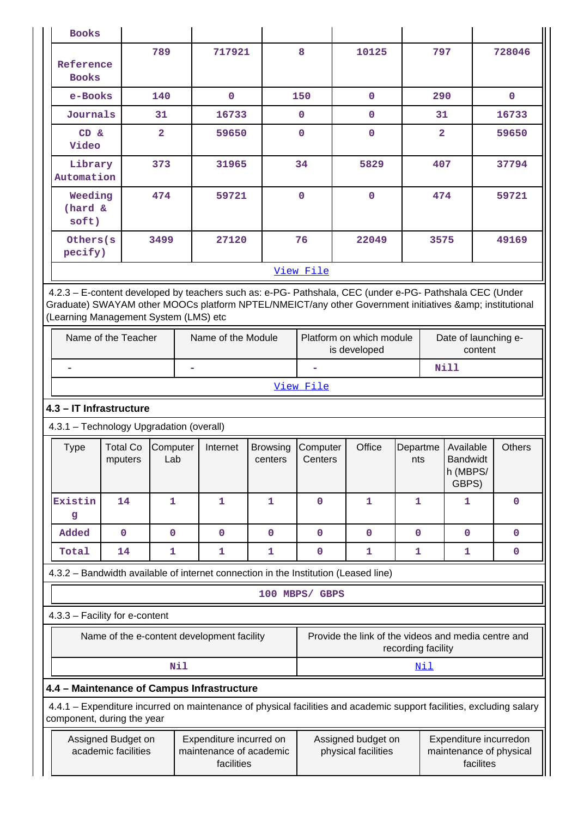| <b>Books</b>                                                                                                                                                                                                                                            |                                           |                    |                                                                             |             |                               |                                           |                 |                         |                                                   |                                                                                                                      |
|---------------------------------------------------------------------------------------------------------------------------------------------------------------------------------------------------------------------------------------------------------|-------------------------------------------|--------------------|-----------------------------------------------------------------------------|-------------|-------------------------------|-------------------------------------------|-----------------|-------------------------|---------------------------------------------------|----------------------------------------------------------------------------------------------------------------------|
| Reference<br><b>Books</b>                                                                                                                                                                                                                               |                                           | 789                | 717921                                                                      |             | 8                             | 10125                                     |                 | 797                     |                                                   | 728046                                                                                                               |
| e-Books                                                                                                                                                                                                                                                 |                                           | 140                | $\mathbf 0$                                                                 |             | 150                           | $\mathbf{0}$                              |                 | 290                     |                                                   | $\mathbf{0}$                                                                                                         |
| Journals                                                                                                                                                                                                                                                |                                           | 31                 | 16733                                                                       |             | $\mathbf 0$                   | 0                                         |                 | 31                      |                                                   | 16733                                                                                                                |
| CD &<br>Video                                                                                                                                                                                                                                           |                                           | $\overline{2}$     | 59650                                                                       |             | 0                             | 0                                         |                 | $\overline{\mathbf{2}}$ |                                                   | 59650                                                                                                                |
| Library<br>Automation                                                                                                                                                                                                                                   |                                           | 373                |                                                                             | 34<br>31965 |                               | 5829                                      |                 | 407                     |                                                   | 37794                                                                                                                |
| Weeding<br>(hard &<br>soft)                                                                                                                                                                                                                             |                                           | 474                |                                                                             | 59721       |                               | $\mathbf 0$                               |                 | 474                     |                                                   | 59721                                                                                                                |
| Others (s)<br>pecify)                                                                                                                                                                                                                                   |                                           | 3499               | 27120                                                                       |             | 76                            | 22049                                     |                 | 3575                    |                                                   | 49169                                                                                                                |
|                                                                                                                                                                                                                                                         |                                           |                    |                                                                             |             | View File                     |                                           |                 |                         |                                                   |                                                                                                                      |
| 4.2.3 - E-content developed by teachers such as: e-PG- Pathshala, CEC (under e-PG- Pathshala CEC (Under<br>Graduate) SWAYAM other MOOCs platform NPTEL/NMEICT/any other Government initiatives & institutional<br>(Learning Management System (LMS) etc |                                           |                    |                                                                             |             |                               |                                           |                 |                         |                                                   |                                                                                                                      |
|                                                                                                                                                                                                                                                         | Name of the Teacher                       | Name of the Module | Platform on which module<br>Date of launching e-<br>is developed<br>content |             |                               |                                           |                 |                         |                                                   |                                                                                                                      |
|                                                                                                                                                                                                                                                         |                                           |                    |                                                                             |             |                               |                                           | <b>Nill</b>     |                         |                                                   |                                                                                                                      |
|                                                                                                                                                                                                                                                         | View File                                 |                    |                                                                             |             |                               |                                           |                 |                         |                                                   |                                                                                                                      |
|                                                                                                                                                                                                                                                         | 4.3 - IT Infrastructure                   |                    |                                                                             |             |                               |                                           |                 |                         |                                                   |                                                                                                                      |
| 4.3.1 - Technology Upgradation (overall)                                                                                                                                                                                                                |                                           |                    |                                                                             |             |                               |                                           |                 |                         |                                                   |                                                                                                                      |
| Type                                                                                                                                                                                                                                                    | <b>Total Co</b><br>mputers                | Computer<br>Lab    | Internet<br><b>Browsing</b><br>centers                                      |             | Office<br>Computer<br>Centers |                                           | Departme<br>nts |                         | Available<br><b>Bandwidt</b><br>h (MBPS/<br>GBPS) | <b>Others</b>                                                                                                        |
| Existin<br>g                                                                                                                                                                                                                                            | 14                                        | 1                  | 1                                                                           | 1           | $\mathbf 0$                   | 1                                         | 1               |                         | 1                                                 | $\mathbf 0$                                                                                                          |
| Added                                                                                                                                                                                                                                                   | $\mathbf 0$                               | $\mathbf 0$        | $\mathbf 0$                                                                 | $\mathbf 0$ | $\mathbf 0$                   | $\mathbf 0$                               | $\mathbf 0$     |                         | $\mathbf{0}$                                      | $\mathbf 0$                                                                                                          |
| Total                                                                                                                                                                                                                                                   | 14                                        | 1                  | 1                                                                           | 1           | $\mathbf 0$                   | 1                                         | 1               |                         | 1                                                 | $\mathbf 0$                                                                                                          |
| 4.3.2 - Bandwidth available of internet connection in the Institution (Leased line)                                                                                                                                                                     |                                           |                    |                                                                             |             |                               |                                           |                 |                         |                                                   |                                                                                                                      |
|                                                                                                                                                                                                                                                         |                                           |                    |                                                                             |             | 100 MBPS/ GBPS                |                                           |                 |                         |                                                   |                                                                                                                      |
| 4.3.3 - Facility for e-content                                                                                                                                                                                                                          |                                           |                    |                                                                             |             |                               |                                           |                 |                         |                                                   |                                                                                                                      |
| Provide the link of the videos and media centre and<br>Name of the e-content development facility<br>recording facility                                                                                                                                 |                                           |                    |                                                                             |             |                               |                                           |                 |                         |                                                   |                                                                                                                      |
|                                                                                                                                                                                                                                                         | Nil<br><u>Nil</u>                         |                    |                                                                             |             |                               |                                           |                 |                         |                                                   |                                                                                                                      |
| 4.4 - Maintenance of Campus Infrastructure                                                                                                                                                                                                              |                                           |                    |                                                                             |             |                               |                                           |                 |                         |                                                   |                                                                                                                      |
| component, during the year                                                                                                                                                                                                                              |                                           |                    |                                                                             |             |                               |                                           |                 |                         |                                                   | 4.4.1 – Expenditure incurred on maintenance of physical facilities and academic support facilities, excluding salary |
|                                                                                                                                                                                                                                                         | Assigned Budget on<br>academic facilities |                    | Expenditure incurred on<br>maintenance of academic<br>facilities            |             |                               | Assigned budget on<br>physical facilities |                 |                         | facilites                                         | Expenditure incurredon<br>maintenance of physical                                                                    |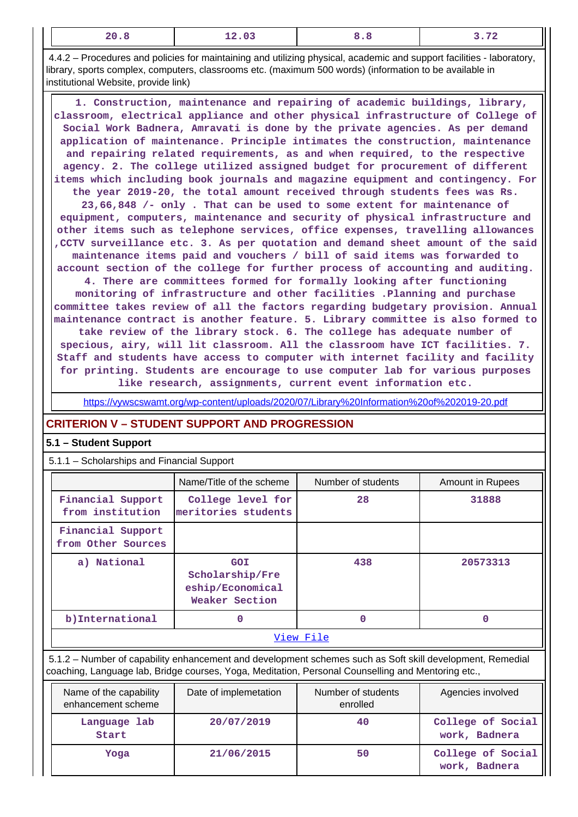|--|

 4.4.2 – Procedures and policies for maintaining and utilizing physical, academic and support facilities - laboratory, library, sports complex, computers, classrooms etc. (maximum 500 words) (information to be available in institutional Website, provide link)

 **1. Construction, maintenance and repairing of academic buildings, library, classroom, electrical appliance and other physical infrastructure of College of Social Work Badnera, Amravati is done by the private agencies. As per demand application of maintenance. Principle intimates the construction, maintenance and repairing related requirements, as and when required, to the respective agency. 2. The college utilized assigned budget for procurement of different items which including book journals and magazine equipment and contingency. For the year 2019-20, the total amount received through students fees was Rs. 23,66,848 /- only . That can be used to some extent for maintenance of equipment, computers, maintenance and security of physical infrastructure and other items such as telephone services, office expenses, travelling allowances ,CCTV surveillance etc. 3. As per quotation and demand sheet amount of the said maintenance items paid and vouchers / bill of said items was forwarded to account section of the college for further process of accounting and auditing. 4. There are committees formed for formally looking after functioning**

**monitoring of infrastructure and other facilities .Planning and purchase committee takes review of all the factors regarding budgetary provision. Annual maintenance contract is another feature. 5. Library committee is also formed to take review of the library stock. 6. The college has adequate number of specious, airy, will lit classroom. All the classroom have ICT facilities. 7. Staff and students have access to computer with internet facility and facility for printing. Students are encourage to use computer lab for various purposes like research, assignments, current event information etc.**

<https://vywscswamt.org/wp-content/uploads/2020/07/Library%20Information%20of%202019-20.pdf>

# **CRITERION V – STUDENT SUPPORT AND PROGRESSION**

### **5.1 – Student Support**

5.1.1 – Scholarships and Financial Support

|                                                                                                       | Number of students<br>Name/Title of the scheme<br>Amount in Rupees |    |       |  |  |  |  |  |
|-------------------------------------------------------------------------------------------------------|--------------------------------------------------------------------|----|-------|--|--|--|--|--|
| Financial Support<br>from institution                                                                 | College level for<br>meritories students                           | 28 | 31888 |  |  |  |  |  |
| Financial Support<br>from Other Sources                                                               |                                                                    |    |       |  |  |  |  |  |
| a) National<br>438<br>20573313<br><b>GOI</b><br>Scholarship/Fre<br>eship/Economical<br>Weaker Section |                                                                    |    |       |  |  |  |  |  |
| b) International<br>0<br>0<br>O                                                                       |                                                                    |    |       |  |  |  |  |  |
| View File                                                                                             |                                                                    |    |       |  |  |  |  |  |

 5.1.2 – Number of capability enhancement and development schemes such as Soft skill development, Remedial coaching, Language lab, Bridge courses, Yoga, Meditation, Personal Counselling and Mentoring etc.,

| Name of the capability<br>enhancement scheme | Date of implemetation | Number of students<br>enrolled | Agencies involved                  |
|----------------------------------------------|-----------------------|--------------------------------|------------------------------------|
| Language lab<br>Start                        | 20/07/2019            | 40                             | College of Social<br>work, Badnera |
| Yoga                                         | 21/06/2015            | 50                             | College of Social<br>work, Badnera |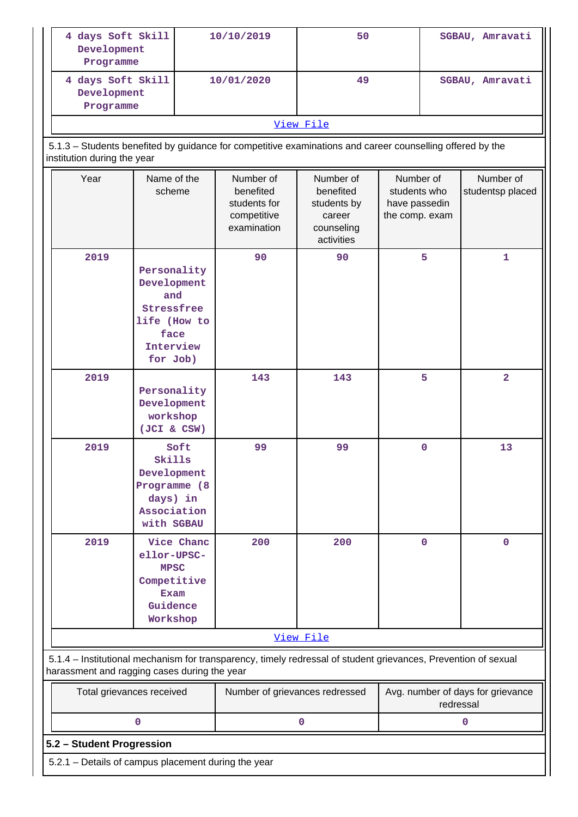| 4 days Soft Skill<br>Development<br>Programme                                                                                            |                                                                                                  |  | 10/10/2019                                                                                                     | 50                                                                          |                                                              | SGBAU, Amravati |                               |
|------------------------------------------------------------------------------------------------------------------------------------------|--------------------------------------------------------------------------------------------------|--|----------------------------------------------------------------------------------------------------------------|-----------------------------------------------------------------------------|--------------------------------------------------------------|-----------------|-------------------------------|
| 4 days Soft Skill<br>Development<br>Programme                                                                                            |                                                                                                  |  | 10/01/2020                                                                                                     | 49                                                                          |                                                              | SGBAU, Amravati |                               |
|                                                                                                                                          |                                                                                                  |  |                                                                                                                | View File                                                                   |                                                              |                 |                               |
| 5.1.3 - Students benefited by guidance for competitive examinations and career counselling offered by the<br>institution during the year |                                                                                                  |  |                                                                                                                |                                                                             |                                                              |                 |                               |
| Year                                                                                                                                     | Name of the<br>scheme                                                                            |  | Number of<br>benefited<br>students for<br>competitive<br>examination                                           | Number of<br>benefited<br>students by<br>career<br>counseling<br>activities | Number of<br>students who<br>have passedin<br>the comp. exam |                 | Number of<br>studentsp placed |
| 2019                                                                                                                                     | Personality<br>Development<br>and<br>Stressfree<br>life (How to<br>face<br>Interview<br>for Job) |  | 90                                                                                                             | 90                                                                          |                                                              | 5               | 1                             |
| 2019<br>Personality<br>Development<br>workshop<br>(JCI & CSW)                                                                            |                                                                                                  |  | 143                                                                                                            | 143                                                                         |                                                              | 5               | $\overline{2}$                |
| 2019                                                                                                                                     | Soft<br>Skills<br>Development<br>Programme (8<br>days) in<br>Association<br>with SGBAU           |  | 99                                                                                                             | 99                                                                          |                                                              | 0               | 13                            |
| 2019<br>Vice Chanc<br>ellor-UPSC-<br><b>MPSC</b><br>Competitive<br>Exam<br>Guidence<br>Workshop                                          |                                                                                                  |  | 200                                                                                                            | 200                                                                         |                                                              | $\mathbf 0$     | $\mathbf{O}$                  |
| View File                                                                                                                                |                                                                                                  |  |                                                                                                                |                                                                             |                                                              |                 |                               |
| harassment and ragging cases during the year                                                                                             |                                                                                                  |  | 5.1.4 - Institutional mechanism for transparency, timely redressal of student grievances, Prevention of sexual |                                                                             |                                                              |                 |                               |
| Total grievances received                                                                                                                |                                                                                                  |  | Number of grievances redressed                                                                                 |                                                                             | Avg. number of days for grievance<br>redressal               |                 |                               |
|                                                                                                                                          | 0                                                                                                |  |                                                                                                                | 0                                                                           |                                                              |                 | 0                             |
| 5.2 - Student Progression                                                                                                                |                                                                                                  |  |                                                                                                                |                                                                             |                                                              |                 |                               |
| 5.2.1 - Details of campus placement during the year                                                                                      |                                                                                                  |  |                                                                                                                |                                                                             |                                                              |                 |                               |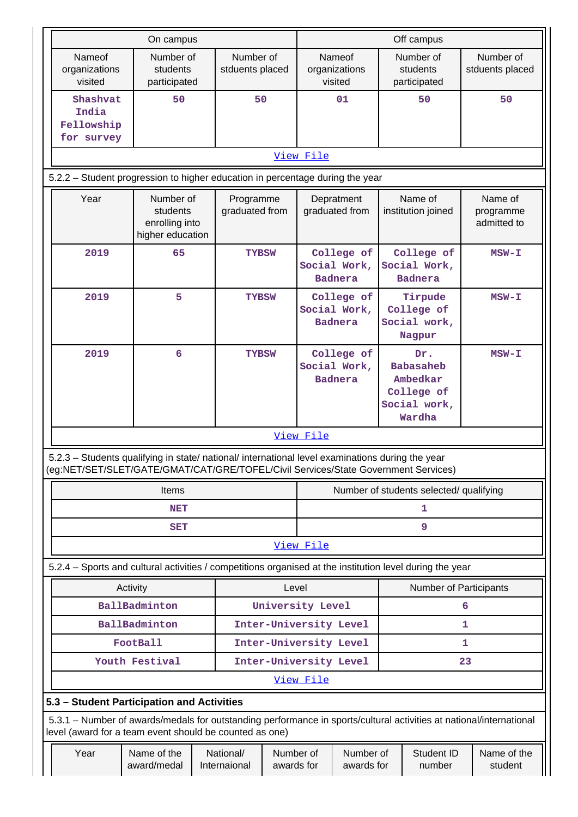| On campus |                                                                                                                                                                                        |                                                                                                                    |                                                  |                                         |                         | Off campus                    |                                              |  |                                                                             |    |                                     |
|-----------|----------------------------------------------------------------------------------------------------------------------------------------------------------------------------------------|--------------------------------------------------------------------------------------------------------------------|--------------------------------------------------|-----------------------------------------|-------------------------|-------------------------------|----------------------------------------------|--|-----------------------------------------------------------------------------|----|-------------------------------------|
|           | Nameof<br>Number of<br>organizations<br>students<br>visited<br>participated                                                                                                            |                                                                                                                    |                                                  | Number of<br>stduents placed            |                         |                               | Nameof<br>organizations<br>visited           |  | Number of<br>students<br>participated                                       |    | Number of<br>stduents placed        |
|           | Shashvat<br>50<br>India<br>Fellowship<br>for survey                                                                                                                                    |                                                                                                                    |                                                  | 50                                      |                         |                               | 01                                           |  | 50                                                                          |    | 50                                  |
|           |                                                                                                                                                                                        |                                                                                                                    |                                                  |                                         |                         | View File                     |                                              |  |                                                                             |    |                                     |
|           | 5.2.2 - Student progression to higher education in percentage during the year                                                                                                          |                                                                                                                    |                                                  |                                         |                         |                               |                                              |  |                                                                             |    |                                     |
|           | Year                                                                                                                                                                                   | Number of<br>students<br>enrolling into<br>higher education                                                        |                                                  | Programme<br>graduated from             |                         |                               | Depratment<br>graduated from                 |  | Name of<br>institution joined                                               |    | Name of<br>programme<br>admitted to |
|           | 2019                                                                                                                                                                                   | 65                                                                                                                 |                                                  | <b>TYBSW</b>                            |                         |                               | College of<br>Social Work,<br><b>Badnera</b> |  | College of<br>Social Work,<br><b>Badnera</b>                                |    | $MSW - I$                           |
|           | 2019                                                                                                                                                                                   | 5                                                                                                                  |                                                  | <b>TYBSW</b>                            |                         |                               | College of<br>Social Work,<br><b>Badnera</b> |  | Tirpude<br>College of<br>Social work,<br>Nagpur                             |    | $MSW-T$                             |
|           | 2019<br>6                                                                                                                                                                              |                                                                                                                    |                                                  | <b>TYBSW</b>                            |                         |                               | College of<br>Social Work,<br><b>Badnera</b> |  | Dr.<br><b>Babasaheb</b><br>Ambedkar<br>College of<br>Social work,<br>Wardha |    | $MSW-T$                             |
|           |                                                                                                                                                                                        |                                                                                                                    |                                                  |                                         |                         | View File                     |                                              |  |                                                                             |    |                                     |
|           | 5.2.3 - Students qualifying in state/ national/ international level examinations during the year<br>(eg:NET/SET/SLET/GATE/GMAT/CAT/GRE/TOFEL/Civil Services/State Government Services) |                                                                                                                    |                                                  |                                         |                         |                               |                                              |  |                                                                             |    |                                     |
|           |                                                                                                                                                                                        | Items                                                                                                              |                                                  | Number of students selected/ qualifying |                         |                               |                                              |  |                                                                             |    |                                     |
|           |                                                                                                                                                                                        | <b>NET</b>                                                                                                         |                                                  |                                         |                         | 1                             |                                              |  |                                                                             |    |                                     |
|           |                                                                                                                                                                                        | <b>SET</b>                                                                                                         |                                                  |                                         |                         | 9                             |                                              |  |                                                                             |    |                                     |
|           |                                                                                                                                                                                        |                                                                                                                    |                                                  |                                         |                         | View File                     |                                              |  |                                                                             |    |                                     |
|           | 5.2.4 - Sports and cultural activities / competitions organised at the institution level during the year                                                                               |                                                                                                                    |                                                  |                                         |                         |                               |                                              |  |                                                                             |    |                                     |
|           | Activity<br>BallBadminton                                                                                                                                                              | Level                                                                                                              | University Level                                 |                                         |                         | <b>Number of Participants</b> | 6                                            |  |                                                                             |    |                                     |
|           | BallBadminton                                                                                                                                                                          |                                                                                                                    |                                                  |                                         |                         | 1                             |                                              |  |                                                                             |    |                                     |
|           |                                                                                                                                                                                        |                                                                                                                    | Inter-University Level<br>Inter-University Level |                                         |                         | 1                             |                                              |  |                                                                             |    |                                     |
|           | FootBall<br>Inter-University Level<br>Youth Festival                                                                                                                                   |                                                                                                                    |                                                  |                                         |                         |                               |                                              |  |                                                                             | 23 |                                     |
|           |                                                                                                                                                                                        |                                                                                                                    |                                                  |                                         |                         | View File                     |                                              |  |                                                                             |    |                                     |
|           | 5.3 - Student Participation and Activities                                                                                                                                             |                                                                                                                    |                                                  |                                         |                         |                               |                                              |  |                                                                             |    |                                     |
|           | 5.3.1 – Number of awards/medals for outstanding performance in sports/cultural activities at national/international                                                                    |                                                                                                                    |                                                  |                                         |                         |                               |                                              |  |                                                                             |    |                                     |
|           | Year                                                                                                                                                                                   | level (award for a team event should be counted as one)<br>National/<br>Name of the<br>award/medal<br>Internaional |                                                  |                                         | Number of<br>awards for |                               | Number of<br>awards for                      |  | Student ID<br>number                                                        |    | Name of the<br>student              |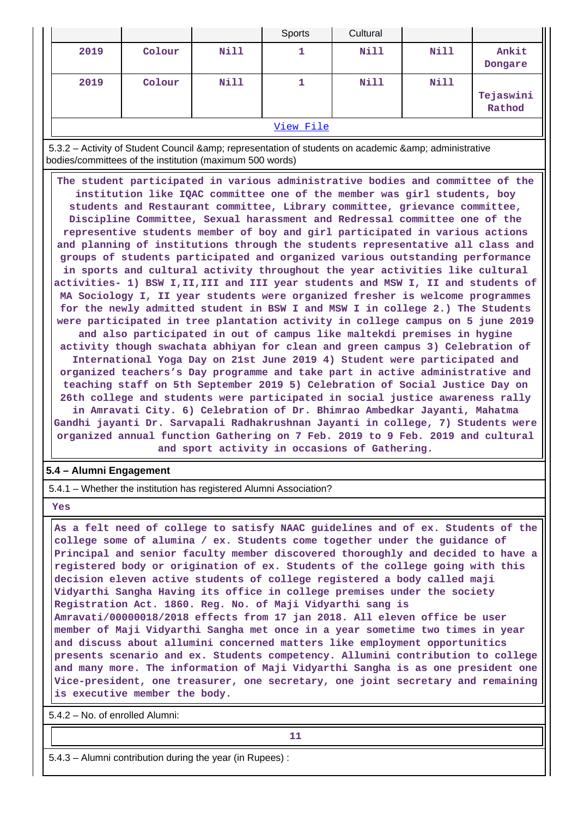|           |        |             | Sports | Cultural    |      |                     |
|-----------|--------|-------------|--------|-------------|------|---------------------|
| 2019      | Colour | <b>Nill</b> | ᆠ      | Nill        | Nill | Ankit<br>Dongare    |
| 2019      | Colour | Nill        |        | <b>Nill</b> | Nill | Tejaswini<br>Rathod |
| View File |        |             |        |             |      |                     |

5.3.2 – Activity of Student Council & amp; representation of students on academic & amp; administrative bodies/committees of the institution (maximum 500 words)

 **The student participated in various administrative bodies and committee of the institution like IQAC committee one of the member was girl students, boy students and Restaurant committee, Library committee, grievance committee, Discipline Committee, Sexual harassment and Redressal committee one of the representive students member of boy and girl participated in various actions and planning of institutions through the students representative all class and groups of students participated and organized various outstanding performance in sports and cultural activity throughout the year activities like cultural activities- 1) BSW I,II,III and III year students and MSW I, II and students of MA Sociology I, II year students were organized fresher is welcome programmes for the newly admitted student in BSW I and MSW I in college 2.) The Students were participated in tree plantation activity in college campus on 5 june 2019 and also participated in out of campus like maltekdi premises in hygine activity though swachata abhiyan for clean and green campus 3) Celebration of International Yoga Day on 21st June 2019 4) Student were participated and organized teachers's Day programme and take part in active administrative and teaching staff on 5th September 2019 5) Celebration of Social Justice Day on 26th college and students were participated in social justice awareness rally in Amravati City. 6) Celebration of Dr. Bhimrao Ambedkar Jayanti, Mahatma Gandhi jayanti Dr. Sarvapali Radhakrushnan Jayanti in college, 7) Students were organized annual function Gathering on 7 Feb. 2019 to 9 Feb. 2019 and cultural and sport activity in occasions of Gathering.**

#### **5.4 – Alumni Engagement**

5.4.1 – Whether the institution has registered Alumni Association?

 **Yes**

 **As a felt need of college to satisfy NAAC guidelines and of ex. Students of the college some of alumina / ex. Students come together under the guidance of Principal and senior faculty member discovered thoroughly and decided to have a registered body or origination of ex. Students of the college going with this decision eleven active students of college registered a body called maji Vidyarthi Sangha Having its office in college premises under the society Registration Act. 1860. Reg. No. of Maji Vidyarthi sang is Amravati/00000018/2018 effects from 17 jan 2018. All eleven office be user member of Maji Vidyarthi Sangha met once in a year sometime two times in year and discuss about allumini concerned matters like employment opportunitics presents scenario and ex. Students competency. Allumini contribution to college and many more. The information of Maji Vidyarthi Sangha is as one president one Vice-president, one treasurer, one secretary, one joint secretary and remaining is executive member the body.**

5.4.2 – No. of enrolled Alumni:

**11** 

5.4.3 – Alumni contribution during the year (in Rupees) :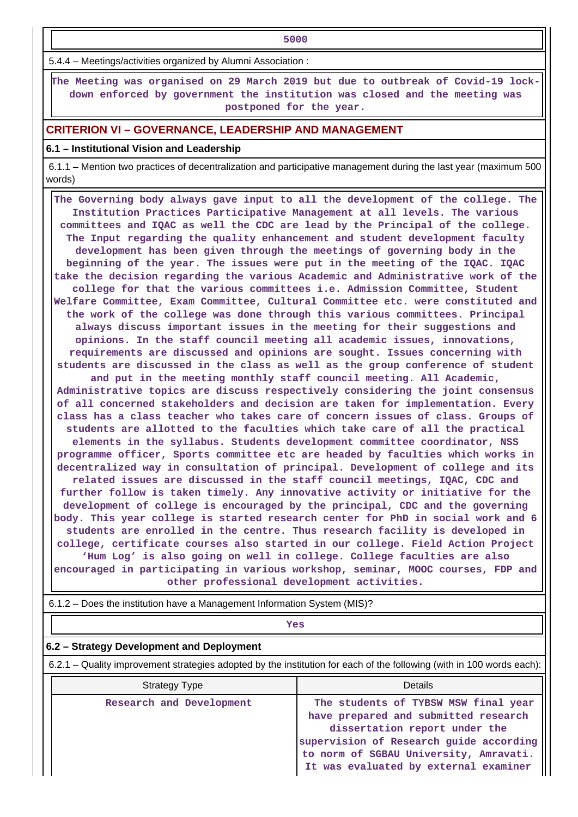**1** 

5.4.4 – Meetings/activities organized by Alumni Association :

 **The Meeting was organised on 29 March 2019 but due to outbreak of Covid-19 lockdown enforced by government the institution was closed and the meeting was postponed for the year.**

### **CRITERION VI – GOVERNANCE, LEADERSHIP AND MANAGEMENT**

#### **6.1 – Institutional Vision and Leadership**

 6.1.1 – Mention two practices of decentralization and participative management during the last year (maximum 500 words)

 **The Governing body always gave input to all the development of the college. The Institution Practices Participative Management at all levels. The various committees and IQAC as well the CDC are lead by the Principal of the college. The Input regarding the quality enhancement and student development faculty development has been given through the meetings of governing body in the beginning of the year. The issues were put in the meeting of the IQAC. IQAC take the decision regarding the various Academic and Administrative work of the college for that the various committees i.e. Admission Committee, Student Welfare Committee, Exam Committee, Cultural Committee etc. were constituted and the work of the college was done through this various committees. Principal always discuss important issues in the meeting for their suggestions and opinions. In the staff council meeting all academic issues, innovations, requirements are discussed and opinions are sought. Issues concerning with students are discussed in the class as well as the group conference of student and put in the meeting monthly staff council meeting. All Academic, Administrative topics are discuss respectively considering the joint consensus of all concerned stakeholders and decision are taken for implementation. Every class has a class teacher who takes care of concern issues of class. Groups of students are allotted to the faculties which take care of all the practical elements in the syllabus. Students development committee coordinator, NSS programme officer, Sports committee etc are headed by faculties which works in decentralized way in consultation of principal. Development of college and its related issues are discussed in the staff council meetings, IQAC, CDC and further follow is taken timely. Any innovative activity or initiative for the development of college is encouraged by the principal, CDC and the governing body. This year college is started research center for PhD in social work and 6 students are enrolled in the centre. Thus research facility is developed in college, certificate courses also started in our college. Field Action Project 'Hum Log' is also going on well in college. College faculties are also**

**encouraged in participating in various workshop, seminar, MOOC courses, FDP and other professional development activities.**

6.1.2 – Does the institution have a Management Information System (MIS)?

*Yes* 

#### **6.2 – Strategy Development and Deployment**

6.2.1 – Quality improvement strategies adopted by the institution for each of the following (with in 100 words each):

| <b>Strategy Type</b>     | Details                                                                                                                                                                                                                                     |
|--------------------------|---------------------------------------------------------------------------------------------------------------------------------------------------------------------------------------------------------------------------------------------|
| Research and Development | The students of TYBSW MSW final year<br>have prepared and submitted research<br>dissertation report under the<br>supervision of Research guide according<br>to norm of SGBAU University, Amravati.<br>It was evaluated by external examiner |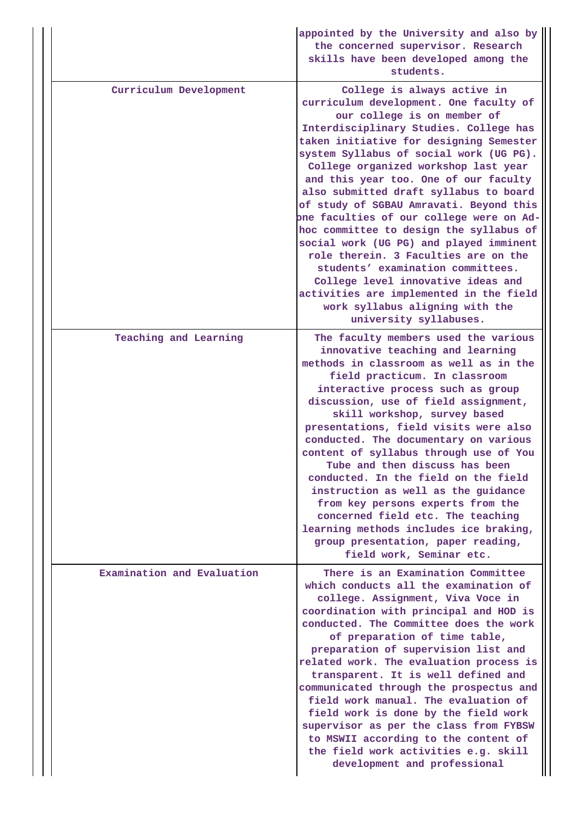|                            | appointed by the University and also by<br>the concerned supervisor. Research<br>skills have been developed among the<br>students.                                                                                                                                                                                                                                                                                                                                                                                                                                                                                                                                                                                                                                      |
|----------------------------|-------------------------------------------------------------------------------------------------------------------------------------------------------------------------------------------------------------------------------------------------------------------------------------------------------------------------------------------------------------------------------------------------------------------------------------------------------------------------------------------------------------------------------------------------------------------------------------------------------------------------------------------------------------------------------------------------------------------------------------------------------------------------|
| Curriculum Development     | College is always active in<br>curriculum development. One faculty of<br>our college is on member of<br>Interdisciplinary Studies. College has<br>taken initiative for designing Semester<br>system Syllabus of social work (UG PG).<br>College organized workshop last year<br>and this year too. One of our faculty<br>also submitted draft syllabus to board<br>of study of SGBAU Amravati. Beyond this<br>one faculties of our college were on Ad-<br>hoc committee to design the syllabus of<br>social work (UG PG) and played imminent<br>role therein. 3 Faculties are on the<br>students' examination committees.<br>College level innovative ideas and<br>activities are implemented in the field<br>work syllabus aligning with the<br>university syllabuses. |
| Teaching and Learning      | The faculty members used the various<br>innovative teaching and learning<br>methods in classroom as well as in the<br>field practicum. In classroom<br>interactive process such as group<br>discussion, use of field assignment,<br>skill workshop, survey based<br>presentations, field visits were also<br>conducted. The documentary on various<br>content of syllabus through use of You<br>Tube and then discuss has been<br>conducted. In the field on the field<br>instruction as well as the guidance<br>from key persons experts from the<br>concerned field etc. The teaching<br>learning methods includes ice braking,<br>group presentation, paper reading,<br>field work, Seminar etc.                                                                     |
| Examination and Evaluation | There is an Examination Committee<br>which conducts all the examination of<br>college. Assignment, Viva Voce in<br>coordination with principal and HOD is<br>conducted. The Committee does the work<br>of preparation of time table,<br>preparation of supervision list and<br>related work. The evaluation process is<br>transparent. It is well defined and<br>communicated through the prospectus and<br>field work manual. The evaluation of<br>field work is done by the field work<br>supervisor as per the class from FYBSW<br>to MSWII according to the content of<br>the field work activities e.g. skill<br>development and professional                                                                                                                      |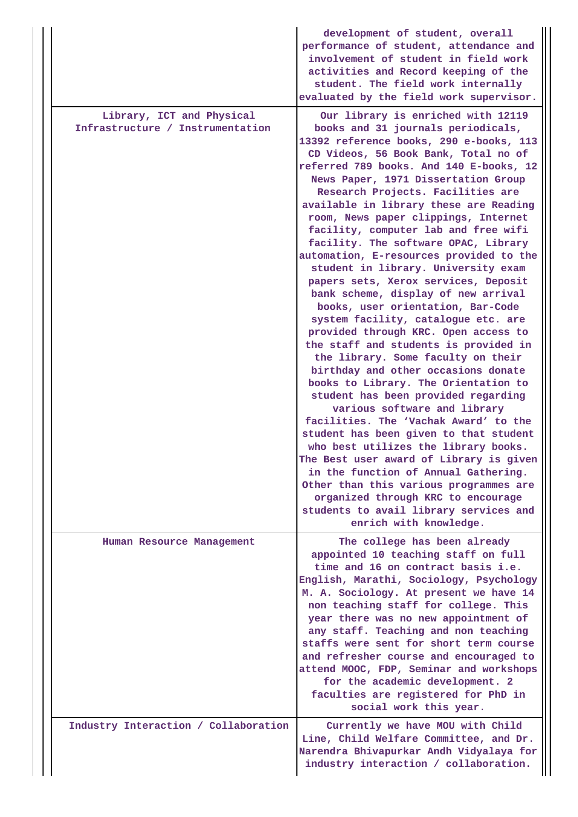|                                                               | development of student, overall<br>performance of student, attendance and<br>involvement of student in field work<br>activities and Record keeping of the<br>student. The field work internally<br>evaluated by the field work supervisor.                                                                                                                                                                                                                                                                                                                                                                                                                                                                                                                                                                                                                                                                                                                                                                                                                                                                                                                                                                                                                                                                                                       |
|---------------------------------------------------------------|--------------------------------------------------------------------------------------------------------------------------------------------------------------------------------------------------------------------------------------------------------------------------------------------------------------------------------------------------------------------------------------------------------------------------------------------------------------------------------------------------------------------------------------------------------------------------------------------------------------------------------------------------------------------------------------------------------------------------------------------------------------------------------------------------------------------------------------------------------------------------------------------------------------------------------------------------------------------------------------------------------------------------------------------------------------------------------------------------------------------------------------------------------------------------------------------------------------------------------------------------------------------------------------------------------------------------------------------------|
| Library, ICT and Physical<br>Infrastructure / Instrumentation | Our library is enriched with 12119<br>books and 31 journals periodicals,<br>13392 reference books, 290 e-books, 113<br>CD Videos, 56 Book Bank, Total no of<br>referred 789 books. And 140 E-books, 12<br>News Paper, 1971 Dissertation Group<br>Research Projects. Facilities are<br>available in library these are Reading<br>room, News paper clippings, Internet<br>facility, computer lab and free wifi<br>facility. The software OPAC, Library<br>automation, E-resources provided to the<br>student in library. University exam<br>papers sets, Xerox services, Deposit<br>bank scheme, display of new arrival<br>books, user orientation, Bar-Code<br>system facility, catalogue etc. are<br>provided through KRC. Open access to<br>the staff and students is provided in<br>the library. Some faculty on their<br>birthday and other occasions donate<br>books to Library. The Orientation to<br>student has been provided regarding<br>various software and library<br>facilities. The 'Vachak Award' to the<br>student has been given to that student<br>who best utilizes the library books.<br>The Best user award of Library is given<br>in the function of Annual Gathering.<br>Other than this various programmes are<br>organized through KRC to encourage<br>students to avail library services and<br>enrich with knowledge. |
| Human Resource Management                                     | The college has been already<br>appointed 10 teaching staff on full<br>time and 16 on contract basis i.e.<br>English, Marathi, Sociology, Psychology<br>M. A. Sociology. At present we have 14<br>non teaching staff for college. This<br>year there was no new appointment of<br>any staff. Teaching and non teaching<br>staffs were sent for short term course<br>and refresher course and encouraged to<br>attend MOOC, FDP, Seminar and workshops<br>for the academic development. 2<br>faculties are registered for PhD in<br>social work this year.                                                                                                                                                                                                                                                                                                                                                                                                                                                                                                                                                                                                                                                                                                                                                                                        |
| Industry Interaction / Collaboration                          | Currently we have MOU with Child<br>Line, Child Welfare Committee, and Dr.<br>Narendra Bhivapurkar Andh Vidyalaya for<br>industry interaction / collaboration.                                                                                                                                                                                                                                                                                                                                                                                                                                                                                                                                                                                                                                                                                                                                                                                                                                                                                                                                                                                                                                                                                                                                                                                   |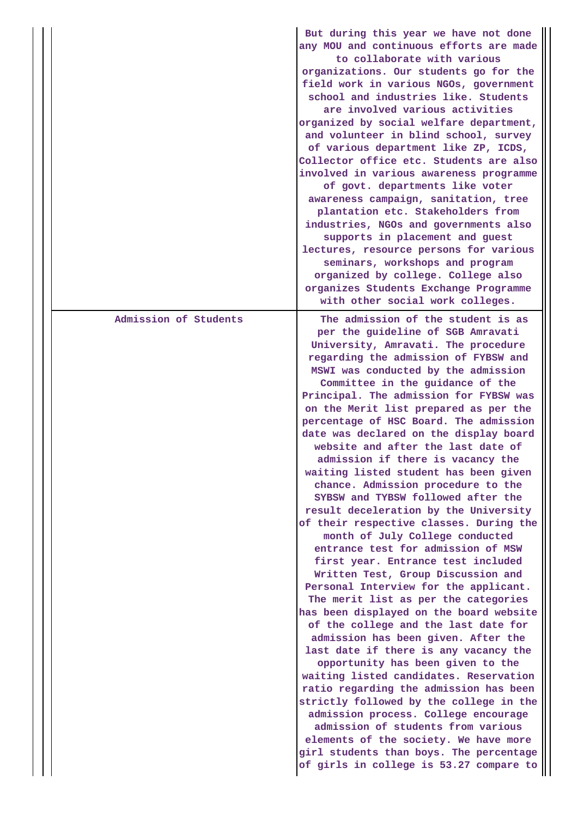|                       | But during this year we have not done<br>any MOU and continuous efforts are made<br>to collaborate with various<br>organizations. Our students go for the<br>field work in various NGOs, government<br>school and industries like. Students<br>are involved various activities<br>organized by social welfare department,<br>and volunteer in blind school, survey<br>of various department like ZP, ICDS,<br>Collector office etc. Students are also<br>involved in various awareness programme<br>of govt. departments like voter<br>awareness campaign, sanitation, tree<br>plantation etc. Stakeholders from<br>industries, NGOs and governments also<br>supports in placement and guest<br>lectures, resource persons for various<br>seminars, workshops and program<br>organized by college. College also<br>organizes Students Exchange Programme<br>with other social work colleges.                                                                                                                                                                                                                                                                                                                                                                                                                                                                                                                                                                                           |
|-----------------------|----------------------------------------------------------------------------------------------------------------------------------------------------------------------------------------------------------------------------------------------------------------------------------------------------------------------------------------------------------------------------------------------------------------------------------------------------------------------------------------------------------------------------------------------------------------------------------------------------------------------------------------------------------------------------------------------------------------------------------------------------------------------------------------------------------------------------------------------------------------------------------------------------------------------------------------------------------------------------------------------------------------------------------------------------------------------------------------------------------------------------------------------------------------------------------------------------------------------------------------------------------------------------------------------------------------------------------------------------------------------------------------------------------------------------------------------------------------------------------------|
| Admission of Students | The admission of the student is as<br>per the guideline of SGB Amravati<br>University, Amravati. The procedure<br>regarding the admission of FYBSW and<br>MSWI was conducted by the admission<br>Committee in the guidance of the<br>Principal. The admission for FYBSW was<br>on the Merit list prepared as per the<br>percentage of HSC Board. The admission<br>date was declared on the display board<br>website and after the last date of<br>admission if there is vacancy the<br>waiting listed student has been given<br>chance. Admission procedure to the<br>SYBSW and TYBSW followed after the<br>result deceleration by the University<br>of their respective classes. During the<br>month of July College conducted<br>entrance test for admission of MSW<br>first year. Entrance test included<br>Written Test, Group Discussion and<br>Personal Interview for the applicant.<br>The merit list as per the categories<br>has been displayed on the board website<br>of the college and the last date for<br>admission has been given. After the<br>last date if there is any vacancy the<br>opportunity has been given to the<br>waiting listed candidates. Reservation<br>ratio regarding the admission has been<br>strictly followed by the college in the<br>admission process. College encourage<br>admission of students from various<br>elements of the society. We have more<br>girl students than boys. The percentage<br>of girls in college is 53.27 compare to |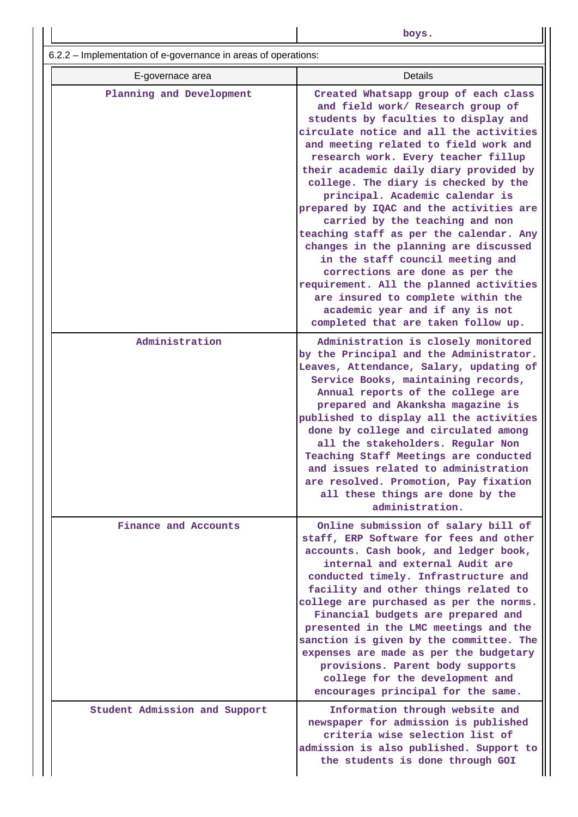| --<br>v<br>. .<br>۰.<br>۰.<br>۰, | ۰.<br>× |  |
|----------------------------------|---------|--|

 $\frac{1}{6.2.2}$  – Implementation of e-governance in areas of

| E-governace area              | <b>Details</b>                                                                                                                                                                                                                                                                                                                                                                                                                                                                                                                                                                                                                                                                                                                                                        |
|-------------------------------|-----------------------------------------------------------------------------------------------------------------------------------------------------------------------------------------------------------------------------------------------------------------------------------------------------------------------------------------------------------------------------------------------------------------------------------------------------------------------------------------------------------------------------------------------------------------------------------------------------------------------------------------------------------------------------------------------------------------------------------------------------------------------|
| Planning and Development      | Created Whatsapp group of each class<br>and field work/ Research group of<br>students by faculties to display and<br>circulate notice and all the activities<br>and meeting related to field work and<br>research work. Every teacher fillup<br>their academic daily diary provided by<br>college. The diary is checked by the<br>principal. Academic calendar is<br>prepared by IQAC and the activities are<br>carried by the teaching and non<br>teaching staff as per the calendar. Any<br>changes in the planning are discussed<br>in the staff council meeting and<br>corrections are done as per the<br>requirement. All the planned activities<br>are insured to complete within the<br>academic year and if any is not<br>completed that are taken follow up. |
| Administration                | Administration is closely monitored<br>by the Principal and the Administrator.<br>Leaves, Attendance, Salary, updating of<br>Service Books, maintaining records,<br>Annual reports of the college are<br>prepared and Akanksha magazine is<br>published to display all the activities<br>done by college and circulated among<br>all the stakeholders. Regular Non<br>Teaching Staff Meetings are conducted<br>and issues related to administration<br>are resolved. Promotion, Pay fixation<br>all these things are done by the<br>administration.                                                                                                                                                                                                                   |
| Finance and Accounts          | Online submission of salary bill of<br>staff, ERP Software for fees and other<br>accounts. Cash book, and ledger book,<br>internal and external Audit are<br>conducted timely. Infrastructure and<br>facility and other things related to<br>college are purchased as per the norms.<br>Financial budgets are prepared and<br>presented in the LMC meetings and the<br>sanction is given by the committee. The<br>expenses are made as per the budgetary<br>provisions. Parent body supports<br>college for the development and<br>encourages principal for the same.                                                                                                                                                                                                 |
| Student Admission and Support | Information through website and<br>newspaper for admission is published<br>criteria wise selection list of<br>admission is also published. Support to<br>the students is done through GOI                                                                                                                                                                                                                                                                                                                                                                                                                                                                                                                                                                             |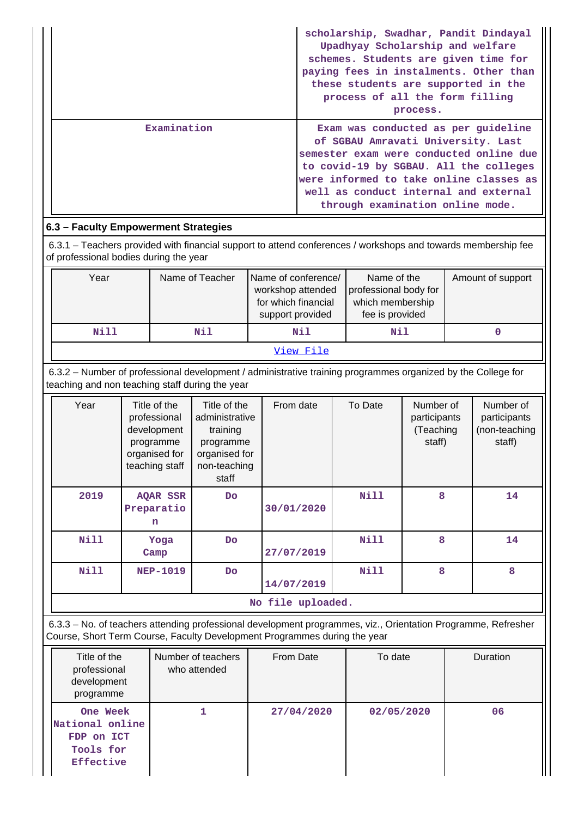|             | scholarship, Swadhar, Pandit Dindayal<br>Upadhyay Scholarship and welfare<br>schemes. Students are given time for<br>paying fees in instalments. Other than<br>these students are supported in the<br>process of all the form filling<br>process.                                      |
|-------------|----------------------------------------------------------------------------------------------------------------------------------------------------------------------------------------------------------------------------------------------------------------------------------------|
| Examination | Exam was conducted as per quideline<br>of SGBAU Amravati University. Last<br>semester exam were conducted online due<br>to covid-19 by SGBAU. All the colleges<br>were informed to take online classes as<br>well as conduct internal and external<br>through examination online mode. |

# **6.3 – Faculty Empowerment Strategies**

 6.3.1 – Teachers provided with financial support to attend conferences / workshops and towards membership fee of professional bodies during the year

| Year      | Name of Teacher | Name of conference/<br>workshop attended<br>for which financial<br>support provided | Name of the<br>professional body for<br>which membership<br>fee is provided | Amount of support |  |
|-----------|-----------------|-------------------------------------------------------------------------------------|-----------------------------------------------------------------------------|-------------------|--|
| Nill      | Nil             | Nil                                                                                 | Nil                                                                         |                   |  |
| View File |                 |                                                                                     |                                                                             |                   |  |

 6.3.2 – Number of professional development / administrative training programmes organized by the College for teaching and non teaching staff during the year

| Year              | Title of the<br>professional<br>development<br>programme<br>organised for<br>teaching staff | Title of the<br>administrative<br>training<br>programme<br>organised for<br>non-teaching<br>staff | From date  | To Date     | Number of<br>participants<br>(Teaching<br>staff) | Number of<br>participants<br>(non-teaching<br>staff) |  |  |
|-------------------|---------------------------------------------------------------------------------------------|---------------------------------------------------------------------------------------------------|------------|-------------|--------------------------------------------------|------------------------------------------------------|--|--|
| 2019              | AQAR SSR<br>Preparatio<br>n                                                                 | Do                                                                                                | 30/01/2020 | <b>Nill</b> | 8                                                | 14                                                   |  |  |
| <b>Nill</b>       | Yoga<br>Camp                                                                                | Do                                                                                                | 27/07/2019 | <b>Nill</b> | 8                                                | 14                                                   |  |  |
| <b>Nill</b>       | <b>NEP-1019</b>                                                                             | Do                                                                                                | 14/07/2019 | <b>Nill</b> | 8                                                | 8                                                    |  |  |
| No file uploaded. |                                                                                             |                                                                                                   |            |             |                                                  |                                                      |  |  |

 6.3.3 – No. of teachers attending professional development programmes, viz., Orientation Programme, Refresher Course, Short Term Course, Faculty Development Programmes during the year

| Title of the<br>professional<br>development<br>programme            | Number of teachers<br>who attended | From Date  | To date    | Duration |
|---------------------------------------------------------------------|------------------------------------|------------|------------|----------|
| One Week<br>National online<br>FDP on ICT<br>Tools for<br>Effective |                                    | 27/04/2020 | 02/05/2020 | 06       |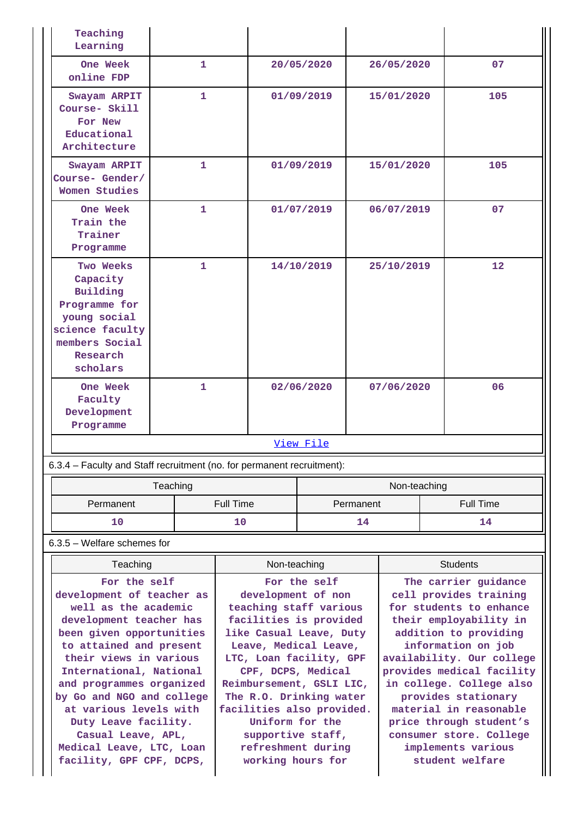| Teaching<br>Learning                                                                                                                                                                                             |              |                                                                                                                                                                                           |                                     |                                                                                                                                                                                 |                 |                                                                                                                                                                                                       |              |                        |     |
|------------------------------------------------------------------------------------------------------------------------------------------------------------------------------------------------------------------|--------------|-------------------------------------------------------------------------------------------------------------------------------------------------------------------------------------------|-------------------------------------|---------------------------------------------------------------------------------------------------------------------------------------------------------------------------------|-----------------|-------------------------------------------------------------------------------------------------------------------------------------------------------------------------------------------------------|--------------|------------------------|-----|
| One Week<br>online FDP                                                                                                                                                                                           |              | 1                                                                                                                                                                                         |                                     |                                                                                                                                                                                 | 20/05/2020      |                                                                                                                                                                                                       | 26/05/2020   |                        | 07  |
| Swayam ARPIT<br>Course- Skill<br>For New<br>Educational<br>Architecture                                                                                                                                          |              | 1.                                                                                                                                                                                        |                                     |                                                                                                                                                                                 | 01/09/2019      |                                                                                                                                                                                                       | 15/01/2020   |                        | 105 |
| Swayam ARPIT<br>Course- Gender/<br>Women Studies                                                                                                                                                                 |              | 1.                                                                                                                                                                                        |                                     |                                                                                                                                                                                 | 01/09/2019      |                                                                                                                                                                                                       | 15/01/2020   |                        | 105 |
| One Week<br>Train the<br>Trainer<br>Programme                                                                                                                                                                    |              | 1.                                                                                                                                                                                        |                                     |                                                                                                                                                                                 | 01/07/2019      |                                                                                                                                                                                                       | 06/07/2019   |                        | 07  |
| Two Weeks<br>Capacity<br>Building<br>Programme for<br>young social<br>science faculty<br>members Social<br>Research<br>scholars                                                                                  |              | $\mathbf{1}$                                                                                                                                                                              |                                     |                                                                                                                                                                                 | 14/10/2019      |                                                                                                                                                                                                       | 25/10/2019   |                        | 12  |
| One Week<br>Faculty<br>Development<br>Programme                                                                                                                                                                  | $\mathbf{1}$ |                                                                                                                                                                                           |                                     | 02/06/2020                                                                                                                                                                      |                 |                                                                                                                                                                                                       | 07/06/2020   |                        | 06  |
| 6.3.4 – Faculty and Staff recruitment (no. for permanent recruitment):                                                                                                                                           |              |                                                                                                                                                                                           |                                     |                                                                                                                                                                                 | View File       |                                                                                                                                                                                                       |              |                        |     |
|                                                                                                                                                                                                                  |              |                                                                                                                                                                                           |                                     |                                                                                                                                                                                 |                 |                                                                                                                                                                                                       |              |                        |     |
|                                                                                                                                                                                                                  | Teaching     |                                                                                                                                                                                           |                                     |                                                                                                                                                                                 |                 |                                                                                                                                                                                                       | Non-teaching |                        |     |
| Permanent<br>10                                                                                                                                                                                                  |              |                                                                                                                                                                                           | <b>Full Time</b><br>Permanent<br>10 |                                                                                                                                                                                 | 14              |                                                                                                                                                                                                       |              | <b>Full Time</b><br>14 |     |
|                                                                                                                                                                                                                  |              |                                                                                                                                                                                           |                                     |                                                                                                                                                                                 |                 |                                                                                                                                                                                                       |              |                        |     |
| 6.3.5 - Welfare schemes for                                                                                                                                                                                      |              |                                                                                                                                                                                           |                                     |                                                                                                                                                                                 |                 |                                                                                                                                                                                                       |              |                        |     |
| Teaching                                                                                                                                                                                                         |              |                                                                                                                                                                                           | Non-teaching                        |                                                                                                                                                                                 | <b>Students</b> |                                                                                                                                                                                                       |              |                        |     |
| For the self<br>development of teacher as<br>well as the academic<br>development teacher has<br>been given opportunities<br>to attained and present<br>their views in various                                    |              | For the self<br>development of non<br>teaching staff various<br>facilities is provided<br>like Casual Leave, Duty<br>Leave, Medical Leave,<br>LTC, Loan facility, GPF                     |                                     | The carrier guidance<br>cell provides training<br>for students to enhance<br>their employability in<br>addition to providing<br>information on job<br>availability. Our college |                 |                                                                                                                                                                                                       |              |                        |     |
| International, National<br>and programmes organized<br>by Go and NGO and college<br>at various levels with<br>Duty Leave facility.<br>Casual Leave, APL,<br>Medical Leave, LTC, Loan<br>facility, GPF CPF, DCPS, |              | CPF, DCPS, Medical<br>Reimbursement, GSLI LIC,<br>The R.O. Drinking water<br>facilities also provided.<br>Uniform for the<br>supportive staff,<br>refreshment during<br>working hours for |                                     |                                                                                                                                                                                 |                 | provides medical facility<br>in college. College also<br>provides stationary<br>material in reasonable<br>price through student's<br>consumer store. College<br>implements various<br>student welfare |              |                        |     |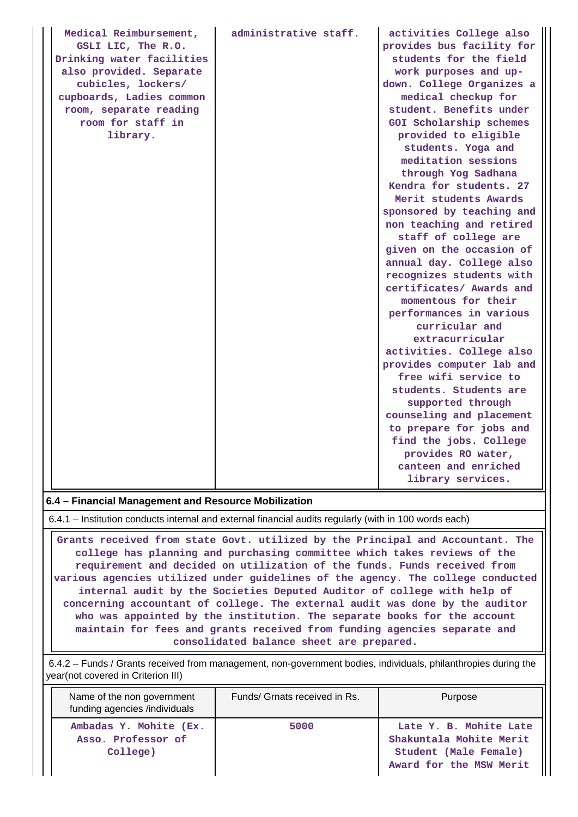| Medical Reimbursement,                               | administrative staff. | activities College also   |  |  |  |  |
|------------------------------------------------------|-----------------------|---------------------------|--|--|--|--|
| GSLI LIC, The R.O.                                   |                       | provides bus facility for |  |  |  |  |
| Drinking water facilities                            |                       | students for the field    |  |  |  |  |
| also provided. Separate                              |                       | work purposes and up-     |  |  |  |  |
| cubicles, lockers/                                   |                       | down. College Organizes a |  |  |  |  |
| cupboards, Ladies common                             |                       | medical checkup for       |  |  |  |  |
| room, separate reading                               |                       | student. Benefits under   |  |  |  |  |
| room for staff in                                    |                       | GOI Scholarship schemes   |  |  |  |  |
| library.                                             |                       | provided to eligible      |  |  |  |  |
|                                                      |                       | students. Yoga and        |  |  |  |  |
|                                                      |                       | meditation sessions       |  |  |  |  |
|                                                      |                       | through Yog Sadhana       |  |  |  |  |
|                                                      |                       | Kendra for students. 27   |  |  |  |  |
|                                                      |                       | Merit students Awards     |  |  |  |  |
|                                                      |                       | sponsored by teaching and |  |  |  |  |
|                                                      |                       | non teaching and retired  |  |  |  |  |
|                                                      |                       | staff of college are      |  |  |  |  |
|                                                      |                       | given on the occasion of  |  |  |  |  |
|                                                      |                       | annual day. College also  |  |  |  |  |
|                                                      |                       | recognizes students with  |  |  |  |  |
|                                                      |                       | certificates/ Awards and  |  |  |  |  |
|                                                      |                       | momentous for their       |  |  |  |  |
|                                                      |                       | performances in various   |  |  |  |  |
|                                                      |                       | curricular and            |  |  |  |  |
|                                                      |                       | extracurricular           |  |  |  |  |
|                                                      |                       | activities. College also  |  |  |  |  |
|                                                      |                       | provides computer lab and |  |  |  |  |
|                                                      |                       | free wifi service to      |  |  |  |  |
|                                                      |                       | students. Students are    |  |  |  |  |
|                                                      |                       | supported through         |  |  |  |  |
|                                                      |                       | counseling and placement  |  |  |  |  |
|                                                      |                       | to prepare for jobs and   |  |  |  |  |
|                                                      |                       | find the jobs. College    |  |  |  |  |
|                                                      |                       | provides RO water,        |  |  |  |  |
|                                                      |                       | canteen and enriched      |  |  |  |  |
|                                                      |                       | library services.         |  |  |  |  |
| 6.4 - Financial Management and Resource Mobilization |                       |                           |  |  |  |  |

6.4.1 – Institution conducts internal and external financial audits regularly (with in 100 words each)

 **Grants received from state Govt. utilized by the Principal and Accountant. The college has planning and purchasing committee which takes reviews of the requirement and decided on utilization of the funds. Funds received from various agencies utilized under guidelines of the agency. The college conducted internal audit by the Societies Deputed Auditor of college with help of concerning accountant of college. The external audit was done by the auditor who was appointed by the institution. The separate books for the account maintain for fees and grants received from funding agencies separate and consolidated balance sheet are prepared.**

 6.4.2 – Funds / Grants received from management, non-government bodies, individuals, philanthropies during the year(not covered in Criterion III)

| Name of the non government<br>funding agencies /individuals | Funds/ Grnats received in Rs. | Purpose                                                                                               |
|-------------------------------------------------------------|-------------------------------|-------------------------------------------------------------------------------------------------------|
| Ambadas Y. Mohite (Ex.<br>Asso. Professor of<br>College)    | 5000                          | Late Y. B. Mohite Late<br>Shakuntala Mohite Merit<br>Student (Male Female)<br>Award for the MSW Merit |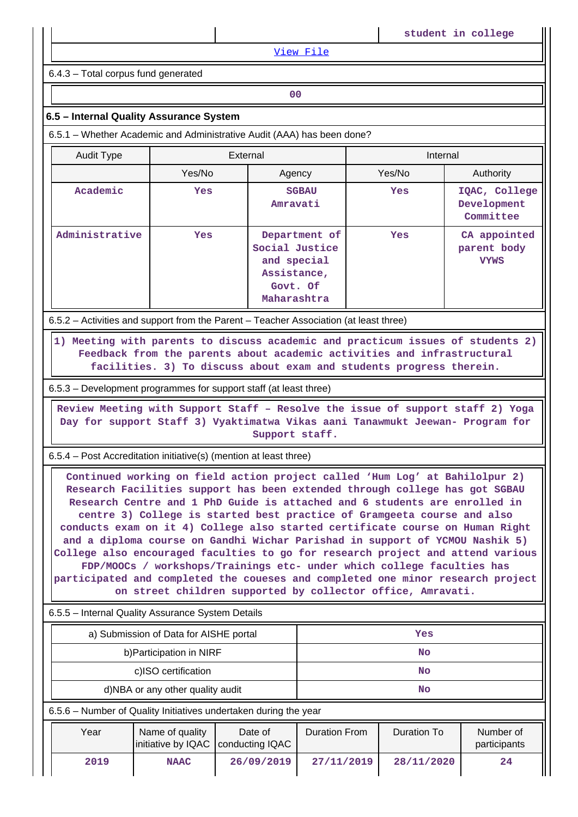[View File](https://assessmentonline.naac.gov.in/public/Postacc/Funds_or_Grants/20970_Funds_or_Grants_1651725590.xlsx)

6.4.3 – Total corpus fund generated

**00**

#### **6.5 – Internal Quality Assurance System**

6.5.1 – Whether Academic and Administrative Audit (AAA) has been done?

| Audit Type     | External |                                                                                          | Internal |                                            |  |  |
|----------------|----------|------------------------------------------------------------------------------------------|----------|--------------------------------------------|--|--|
|                | Yes/No   | Agency                                                                                   | Yes/No   | Authority                                  |  |  |
| Academic       | Yes      | <b>SGBAU</b><br>Amravati                                                                 | Yes      | IQAC, College<br>Development<br>Committee  |  |  |
| Administrative | Yes      | Department of<br>Social Justice<br>and special<br>Assistance,<br>Govt. Of<br>Maharashtra | Yes      | CA appointed<br>parent body<br><b>VYWS</b> |  |  |

6.5.2 – Activities and support from the Parent – Teacher Association (at least three)

 **1) Meeting with parents to discuss academic and practicum issues of students 2) Feedback from the parents about academic activities and infrastructural facilities. 3) To discuss about exam and students progress therein.**

6.5.3 – Development programmes for support staff (at least three)

 **Review Meeting with Support Staff – Resolve the issue of support staff 2) Yoga Day for support Staff 3) Vyaktimatwa Vikas aani Tanawmukt Jeewan- Program for Support staff.**

6.5.4 – Post Accreditation initiative(s) (mention at least three)

 **Continued working on field action project called 'Hum Log' at Bahilolpur 2) Research Facilities support has been extended through college has got SGBAU Research Centre and 1 PhD Guide is attached and 6 students are enrolled in centre 3) College is started best practice of Gramgeeta course and also conducts exam on it 4) College also started certificate course on Human Right and a diploma course on Gandhi Wichar Parishad in support of YCMOU Nashik 5) College also encouraged faculties to go for research project and attend various FDP/MOOCs / workshops/Trainings etc- under which college faculties has participated and completed the coueses and completed one minor research project on street children supported by collector office, Amravati.**

6.5.5 – Internal Quality Assurance System Details

| a) Submission of Data for AISHE portal | Yes       |
|----------------------------------------|-----------|
| b) Participation in NIRF               | No        |
| c)ISO certification                    | <b>No</b> |
| d)NBA or any other quality audit       | No        |

6.5.6 – Number of Quality Initiatives undertaken during the year

| Year | Name of quality<br>initiative by IQAC   conducting IQAC | Date of    | <b>Duration From</b> | Duration To | Number of<br>participants |
|------|---------------------------------------------------------|------------|----------------------|-------------|---------------------------|
| 2019 | <b>NAAC</b>                                             | 26/09/2019 | 27/11/2019           | 28/11/2020  | 24                        |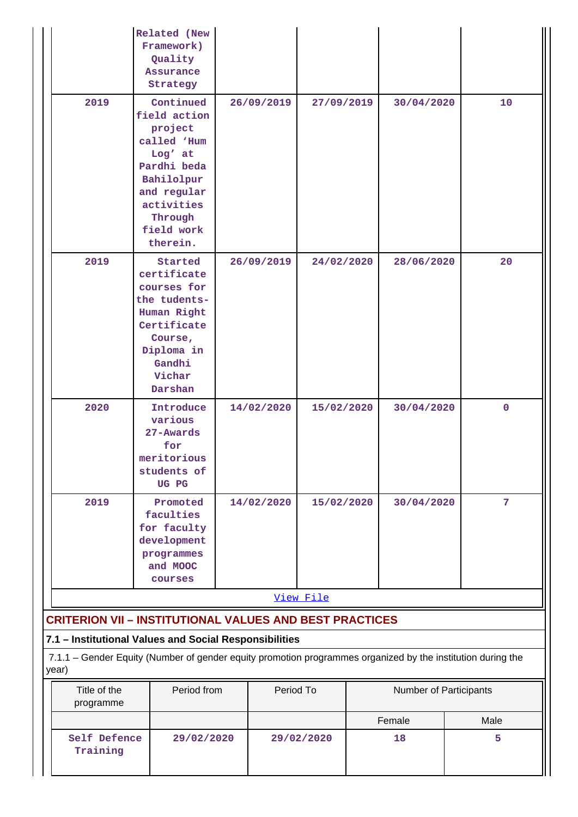|                                                                | <b>Related</b> (New<br>Framework)<br>Quality<br>Assurance<br>Strategy                                                                                         |            |            |            |    |                        |  |                |  |
|----------------------------------------------------------------|---------------------------------------------------------------------------------------------------------------------------------------------------------------|------------|------------|------------|----|------------------------|--|----------------|--|
| 2019                                                           | Continued<br>field action<br>project<br>called 'Hum<br>Log' at<br>Pardhi beda<br>Bahilolpur<br>and regular<br>activities<br>Through<br>field work<br>therein. |            | 26/09/2019 | 27/09/2019 |    | 30/04/2020             |  | 10             |  |
| 2019                                                           | Started<br>certificate<br>courses for<br>the tudents-<br>Human Right<br>Certificate<br>Course,<br>Diploma in<br>Gandhi<br>Vichar<br>Darshan                   |            | 26/09/2019 | 24/02/2020 |    | 28/06/2020             |  | 20             |  |
| 2020                                                           | Introduce<br>various<br>27-Awards<br>for<br>meritorious<br>students of<br>UG PG                                                                               | 14/02/2020 |            | 15/02/2020 |    | 30/04/2020             |  | $\mathbf 0$    |  |
| 2019                                                           | Promoted<br>faculties<br>for faculty<br>development<br>programmes<br>and MOOC<br>courses                                                                      |            | 14/02/2020 | 15/02/2020 |    | 30/04/2020             |  | $\overline{7}$ |  |
|                                                                |                                                                                                                                                               |            |            | View File  |    |                        |  |                |  |
| <b>CRITERION VII - INSTITUTIONAL VALUES AND BEST PRACTICES</b> |                                                                                                                                                               |            |            |            |    |                        |  |                |  |
| 7.1 - Institutional Values and Social Responsibilities         |                                                                                                                                                               |            |            |            |    |                        |  |                |  |
| year)                                                          | 7.1.1 - Gender Equity (Number of gender equity promotion programmes organized by the institution during the                                                   |            |            |            |    |                        |  |                |  |
| Title of the<br>programme                                      | Period from                                                                                                                                                   |            | Period To  |            |    | Number of Participants |  |                |  |
|                                                                |                                                                                                                                                               |            |            |            |    | Female                 |  | Male           |  |
| Self Defence<br>29/02/2020<br>Training                         |                                                                                                                                                               |            | 29/02/2020 |            | 18 |                        |  | 5              |  |

 $\mathbf{I}$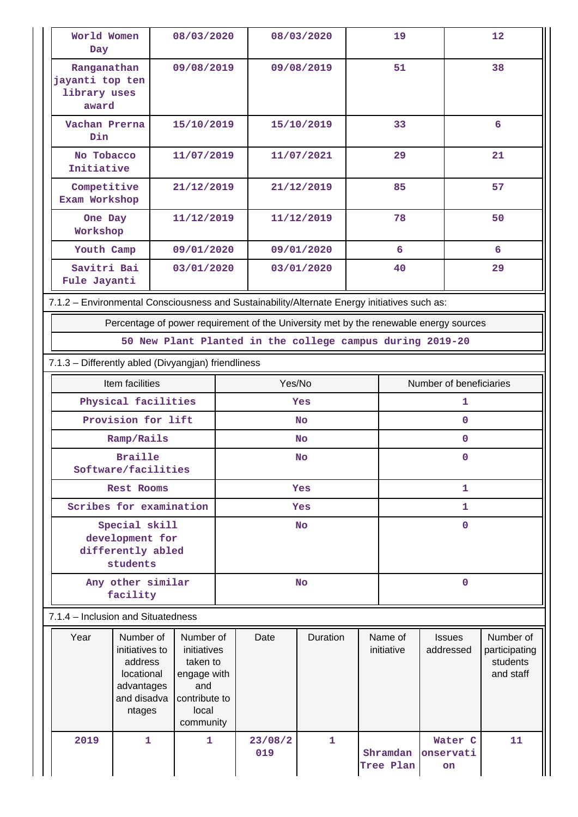| World Women<br>Day                                                                                  |                                                           | 08/03/2020                                                                                        |  |                | 08/03/2020               | 19 |                         | 12                                                                                    |                                                     |  |
|-----------------------------------------------------------------------------------------------------|-----------------------------------------------------------|---------------------------------------------------------------------------------------------------|--|----------------|--------------------------|----|-------------------------|---------------------------------------------------------------------------------------|-----------------------------------------------------|--|
| Ranganathan<br>jayanti top ten<br>library uses<br>award                                             |                                                           | 09/08/2019                                                                                        |  |                | 09/08/2019               | 51 |                         | 38                                                                                    |                                                     |  |
| Vachan Prerna<br>Din                                                                                |                                                           | 15/10/2019                                                                                        |  |                | 15/10/2019               | 33 |                         |                                                                                       | 6                                                   |  |
| No Tobacco<br>Initiative                                                                            |                                                           | 11/07/2019                                                                                        |  |                | 11/07/2021               |    | 29                      |                                                                                       | 21                                                  |  |
| Competitive<br>Exam Workshop                                                                        |                                                           | 21/12/2019                                                                                        |  |                | 21/12/2019               |    | 85                      |                                                                                       | 57                                                  |  |
| One Day<br>Workshop                                                                                 |                                                           | 11/12/2019                                                                                        |  |                | 11/12/2019               |    | 78                      |                                                                                       | 50                                                  |  |
| Youth Camp                                                                                          |                                                           | 09/01/2020                                                                                        |  |                | 09/01/2020               |    | 6                       |                                                                                       | 6                                                   |  |
| Savitri Bai<br>Fule Jayanti                                                                         |                                                           | 03/01/2020                                                                                        |  |                | 03/01/2020               |    | 40                      |                                                                                       | 29                                                  |  |
| 7.1.2 - Environmental Consciousness and Sustainability/Alternate Energy initiatives such as:        |                                                           |                                                                                                   |  |                |                          |    |                         |                                                                                       |                                                     |  |
|                                                                                                     |                                                           |                                                                                                   |  |                |                          |    |                         | Percentage of power requirement of the University met by the renewable energy sources |                                                     |  |
|                                                                                                     | 50 New Plant Planted in the college campus during 2019-20 |                                                                                                   |  |                |                          |    |                         |                                                                                       |                                                     |  |
| 7.1.3 - Differently abled (Divyangjan) friendliness                                                 |                                                           |                                                                                                   |  |                |                          |    |                         |                                                                                       |                                                     |  |
| Item facilities                                                                                     |                                                           |                                                                                                   |  | Yes/No         |                          |    | Number of beneficiaries |                                                                                       |                                                     |  |
| Physical facilities                                                                                 |                                                           |                                                                                                   |  |                | Yes                      |    |                         | 1                                                                                     |                                                     |  |
| Provision for lift                                                                                  |                                                           |                                                                                                   |  |                | <b>No</b>                |    | $\mathbf 0$             |                                                                                       |                                                     |  |
|                                                                                                     | Ramp/Rails                                                |                                                                                                   |  |                | No                       |    |                         | $\mathbf 0$                                                                           |                                                     |  |
|                                                                                                     | <b>Braille</b><br>Software/facilities                     |                                                                                                   |  |                | No                       |    |                         | $\mathbf 0$                                                                           |                                                     |  |
| <b>Rest Rooms</b>                                                                                   |                                                           |                                                                                                   |  | Yes            |                          |    | 1                       |                                                                                       |                                                     |  |
| Scribes for examination                                                                             |                                                           |                                                                                                   |  | Yes            |                          |    |                         | $\mathbf{1}$                                                                          |                                                     |  |
| Special skill                                                                                       |                                                           |                                                                                                   |  |                | <b>No</b>                |    | $\mathbf{0}$            |                                                                                       |                                                     |  |
| development for<br>differently abled                                                                |                                                           |                                                                                                   |  |                |                          |    |                         |                                                                                       |                                                     |  |
| students                                                                                            |                                                           |                                                                                                   |  |                |                          |    |                         |                                                                                       |                                                     |  |
|                                                                                                     | Any other similar<br>facility                             |                                                                                                   |  |                | $\mathbf 0$<br><b>No</b> |    |                         |                                                                                       |                                                     |  |
|                                                                                                     | 7.1.4 – Inclusion and Situatedness                        |                                                                                                   |  |                |                          |    |                         |                                                                                       |                                                     |  |
| Number of<br>Year<br>initiatives to<br>address<br>locational<br>advantages<br>and disadva<br>ntages |                                                           | Number of<br>initiatives<br>taken to<br>engage with<br>and<br>contribute to<br>local<br>community |  | Date           | Duration                 |    | Name of<br>initiative   | <b>Issues</b><br>addressed                                                            | Number of<br>participating<br>students<br>and staff |  |
| 2019                                                                                                | $\mathbf{1}$                                              | $\mathbf{1}$                                                                                      |  | 23/08/2<br>019 | $\mathbf{1}$             |    | Shramdan<br>Tree Plan   | Water C<br>onservati<br>on                                                            | 11                                                  |  |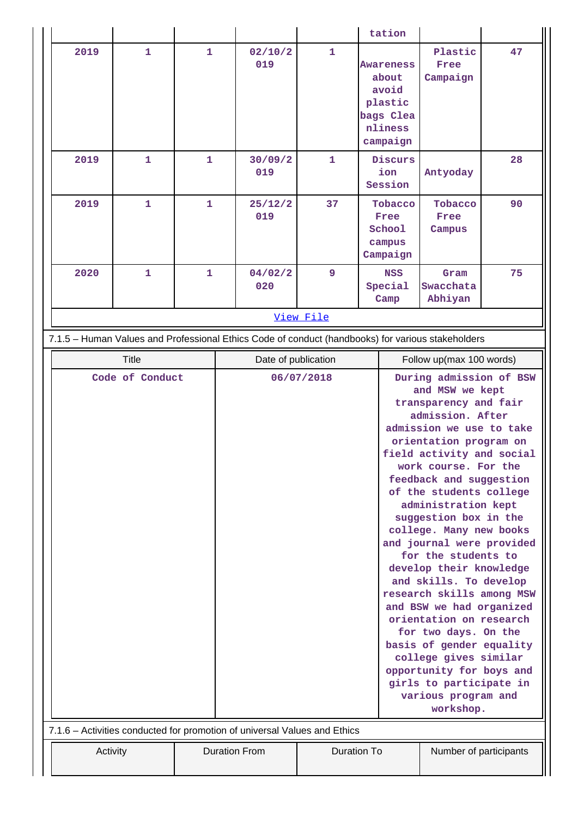|                                                                                                   |                                 |              |                                   |                      |                    |                                                                                   | tation                                              |                                                                                                                                                                                                                                                                                                                                                                                                                                                                                                                                                                                                                                                                               |                           |          |    |
|---------------------------------------------------------------------------------------------------|---------------------------------|--------------|-----------------------------------|----------------------|--------------------|-----------------------------------------------------------------------------------|-----------------------------------------------------|-------------------------------------------------------------------------------------------------------------------------------------------------------------------------------------------------------------------------------------------------------------------------------------------------------------------------------------------------------------------------------------------------------------------------------------------------------------------------------------------------------------------------------------------------------------------------------------------------------------------------------------------------------------------------------|---------------------------|----------|----|
| 2019                                                                                              | $\mathbf{1}$                    | $\mathbf{1}$ |                                   | 02/10/2<br>019       | $\mathbf{1}$       | <b>Awareness</b><br>about<br>avoid<br>plastic<br>bags Clea<br>nliness<br>campaign |                                                     | Plastic<br>Free<br>Campaign                                                                                                                                                                                                                                                                                                                                                                                                                                                                                                                                                                                                                                                   | 47                        |          |    |
| 2019                                                                                              | $\mathbf{1}$                    | $\mathbf{1}$ |                                   |                      |                    | 30/09/2<br>019                                                                    | $\mathbf{1}$                                        |                                                                                                                                                                                                                                                                                                                                                                                                                                                                                                                                                                                                                                                                               | Discurs<br>ion<br>Session | Antyoday | 28 |
| 2019                                                                                              | $\mathbf{1}$                    | $\mathbf{1}$ |                                   | 25/12/2<br>019       | 37                 |                                                                                   | Tobacco<br>Free<br>School<br>campus<br>Campaign     | Tobacco<br>Free<br>Campus                                                                                                                                                                                                                                                                                                                                                                                                                                                                                                                                                                                                                                                     | 90                        |          |    |
| 2020                                                                                              | $\mathbf{1}$                    | $\mathbf{1}$ |                                   | 04/02/2<br>020       | 9                  |                                                                                   | <b>NSS</b><br>Special<br>Camp                       | Gram<br>Swacchata<br>Abhiyan                                                                                                                                                                                                                                                                                                                                                                                                                                                                                                                                                                                                                                                  | 75                        |          |    |
|                                                                                                   |                                 |              |                                   |                      | View File          |                                                                                   |                                                     |                                                                                                                                                                                                                                                                                                                                                                                                                                                                                                                                                                                                                                                                               |                           |          |    |
| 7.1.5 - Human Values and Professional Ethics Code of conduct (handbooks) for various stakeholders |                                 |              |                                   |                      |                    |                                                                                   |                                                     |                                                                                                                                                                                                                                                                                                                                                                                                                                                                                                                                                                                                                                                                               |                           |          |    |
|                                                                                                   | <b>Title</b><br>Code of Conduct |              | Date of publication<br>06/07/2018 |                      |                    |                                                                                   | Follow up(max 100 words)<br>During admission of BSW |                                                                                                                                                                                                                                                                                                                                                                                                                                                                                                                                                                                                                                                                               |                           |          |    |
|                                                                                                   |                                 |              |                                   |                      |                    |                                                                                   |                                                     | and MSW we kept<br>transparency and fair<br>admission. After<br>admission we use to take<br>orientation program on<br>field activity and social<br>work course. For the<br>feedback and suggestion<br>of the students college<br>administration kept<br>suggestion box in the<br>college. Many new books<br>and journal were provided<br>for the students to<br>develop their knowledge<br>and skills. To develop<br>research skills among MSW<br>and BSW we had organized<br>orientation on research<br>for two days. On the<br>basis of gender equality<br>college gives similar<br>opportunity for boys and<br>girls to participate in<br>various program and<br>workshop. |                           |          |    |
| 7.1.6 - Activities conducted for promotion of universal Values and Ethics                         |                                 |              |                                   |                      |                    |                                                                                   |                                                     |                                                                                                                                                                                                                                                                                                                                                                                                                                                                                                                                                                                                                                                                               |                           |          |    |
|                                                                                                   | Activity                        |              |                                   | <b>Duration From</b> | <b>Duration To</b> |                                                                                   |                                                     | Number of participants                                                                                                                                                                                                                                                                                                                                                                                                                                                                                                                                                                                                                                                        |                           |          |    |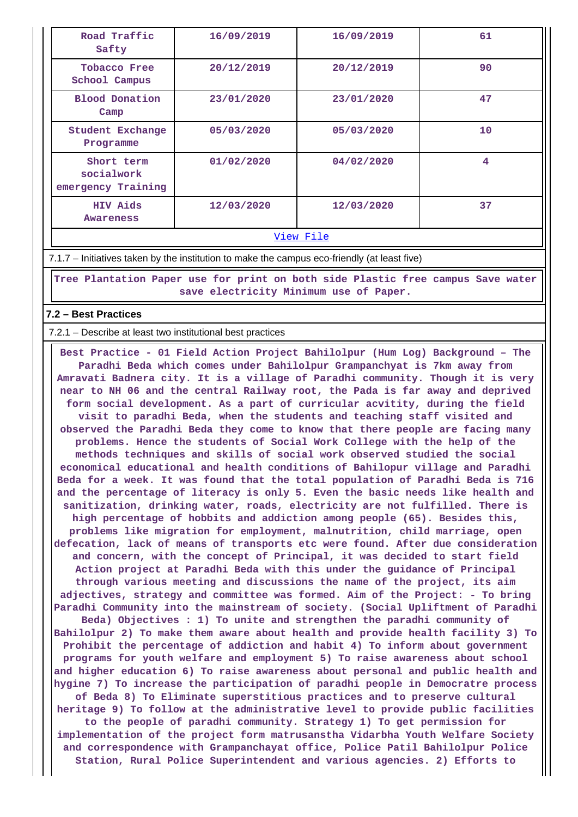| Road Traffic<br>Safty                          | 16/09/2019 | 16/09/2019 | 61 |
|------------------------------------------------|------------|------------|----|
| <b>Tobacco Free</b><br>School Campus           | 20/12/2019 | 20/12/2019 | 90 |
| <b>Blood Donation</b><br>Camp                  | 23/01/2020 | 23/01/2020 | 47 |
| Student Exchange<br>Programme                  | 05/03/2020 | 05/03/2020 | 10 |
| Short term<br>socialwork<br>emergency Training | 01/02/2020 | 04/02/2020 | 4  |
| <b>HIV Aids</b><br>Awareness                   | 12/03/2020 | 12/03/2020 | 37 |

#### [View File](https://assessmentonline.naac.gov.in/public/Postacc/promotion_activities/20970_promotion_activities_1651662348.xlsx)

7.1.7 – Initiatives taken by the institution to make the campus eco-friendly (at least five)

 **Tree Plantation Paper use for print on both side Plastic free campus Save water save electricity Minimum use of Paper.**

### **7.2 – Best Practices**

7.2.1 – Describe at least two institutional best practices

 **Best Practice - 01 Field Action Project Bahilolpur (Hum Log) Background – The Paradhi Beda which comes under Bahilolpur Grampanchyat is 7km away from Amravati Badnera city. It is a village of Paradhi community. Though it is very near to NH 06 and the central Railway root, the Pada is far away and deprived form social development. As a part of curricular acvitity, during the field visit to paradhi Beda, when the students and teaching staff visited and observed the Paradhi Beda they come to know that there people are facing many problems. Hence the students of Social Work College with the help of the methods techniques and skills of social work observed studied the social economical educational and health conditions of Bahilopur village and Paradhi Beda for a week. It was found that the total population of Paradhi Beda is 716 and the percentage of literacy is only 5. Even the basic needs like health and sanitization, drinking water, roads, electricity are not fulfilled. There is high percentage of hobbits and addiction among people (65). Besides this, problems like migration for employment, malnutrition, child marriage, open defecation, lack of means of transports etc were found. After due consideration and concern, with the concept of Principal, it was decided to start field Action project at Paradhi Beda with this under the guidance of Principal through various meeting and discussions the name of the project, its aim adjectives, strategy and committee was formed. Aim of the Project: - To bring Paradhi Community into the mainstream of society. (Social Upliftment of Paradhi Beda) Objectives : 1) To unite and strengthen the paradhi community of Bahilolpur 2) To make them aware about health and provide health facility 3) To Prohibit the percentage of addiction and habit 4) To inform about government programs for youth welfare and employment 5) To raise awareness about school and higher education 6) To raise awareness about personal and public health and hygine 7) To increase the participation of paradhi people in Democratre process of Beda 8) To Eliminate superstitious practices and to preserve cultural heritage 9) To follow at the administrative level to provide public facilities to the people of paradhi community. Strategy 1) To get permission for implementation of the project form matrusanstha Vidarbha Youth Welfare Society and correspondence with Grampanchayat office, Police Patil Bahilolpur Police Station, Rural Police Superintendent and various agencies. 2) Efforts to**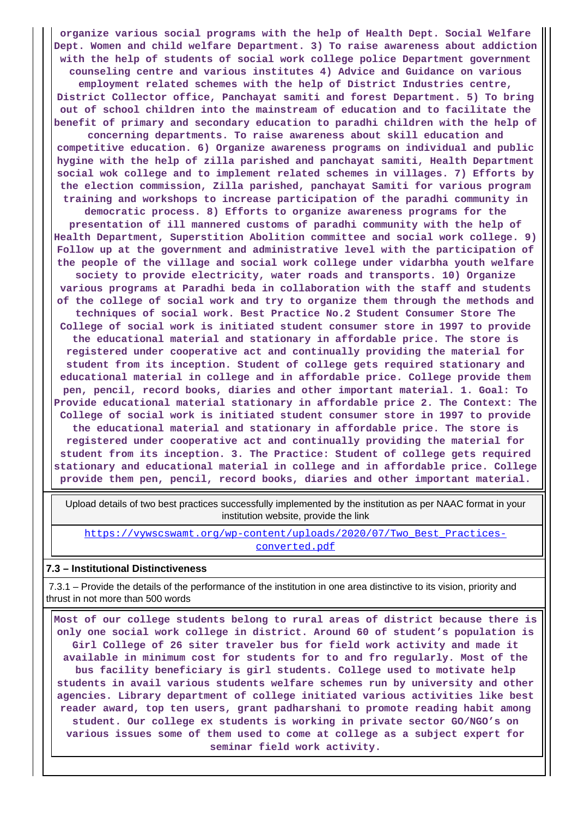**organize various social programs with the help of Health Dept. Social Welfare Dept. Women and child welfare Department. 3) To raise awareness about addiction with the help of students of social work college police Department government counseling centre and various institutes 4) Advice and Guidance on various employment related schemes with the help of District Industries centre, District Collector office, Panchayat samiti and forest Department. 5) To bring out of school children into the mainstream of education and to facilitate the benefit of primary and secondary education to paradhi children with the help of concerning departments. To raise awareness about skill education and competitive education. 6) Organize awareness programs on individual and public hygine with the help of zilla parished and panchayat samiti, Health Department social wok college and to implement related schemes in villages. 7) Efforts by the election commission, Zilla parished, panchayat Samiti for various program training and workshops to increase participation of the paradhi community in democratic process. 8) Efforts to organize awareness programs for the presentation of ill mannered customs of paradhi community with the help of Health Department, Superstition Abolition committee and social work college. 9) Follow up at the government and administrative level with the participation of the people of the village and social work college under vidarbha youth welfare society to provide electricity, water roads and transports. 10) Organize various programs at Paradhi beda in collaboration with the staff and students of the college of social work and try to organize them through the methods and techniques of social work. Best Practice No.2 Student Consumer Store The College of social work is initiated student consumer store in 1997 to provide the educational material and stationary in affordable price. The store is registered under cooperative act and continually providing the material for student from its inception. Student of college gets required stationary and educational material in college and in affordable price. College provide them pen, pencil, record books, diaries and other important material. 1. Goal: To Provide educational material stationary in affordable price 2. The Context: The College of social work is initiated student consumer store in 1997 to provide the educational material and stationary in affordable price. The store is registered under cooperative act and continually providing the material for student from its inception. 3. The Practice: Student of college gets required stationary and educational material in college and in affordable price. College provide them pen, pencil, record books, diaries and other important material.**

 Upload details of two best practices successfully implemented by the institution as per NAAC format in your institution website, provide the link

[https://vywscswamt.org/wp-content/uploads/2020/07/Two\\_Best\\_Practices](https://vywscswamt.org/wp-content/uploads/2020/07/Two_Best_Practices-converted.pdf)[converted.pdf](https://vywscswamt.org/wp-content/uploads/2020/07/Two_Best_Practices-converted.pdf)

#### **7.3 – Institutional Distinctiveness**

 7.3.1 – Provide the details of the performance of the institution in one area distinctive to its vision, priority and thrust in not more than 500 words

 **Most of our college students belong to rural areas of district because there is only one social work college in district. Around 60 of student's population is Girl College of 26 siter traveler bus for field work activity and made it available in minimum cost for students for to and fro regularly. Most of the bus facility beneficiary is girl students. College used to motivate help students in avail various students welfare schemes run by university and other agencies. Library department of college initiated various activities like best reader award, top ten users, grant padharshani to promote reading habit among student. Our college ex students is working in private sector GO/NGO's on various issues some of them used to come at college as a subject expert for seminar field work activity.**